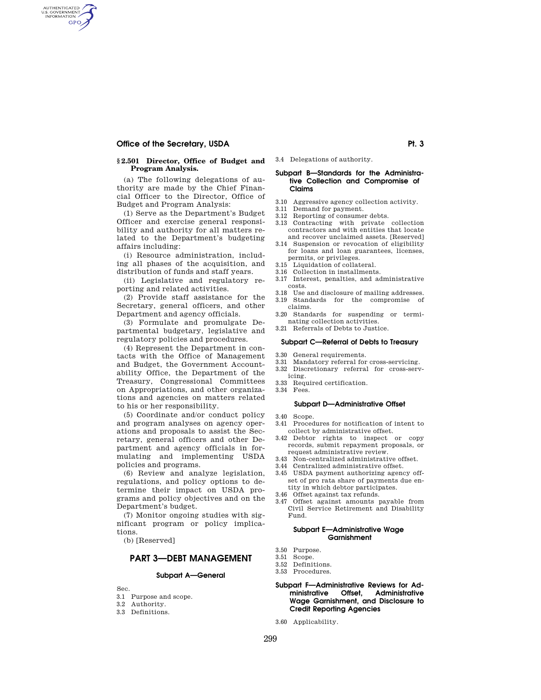## **Office of the Secretary, USDA Pt. 3 Pt. 3**

AUTHENTICATED<br>U.S. GOVERNMENT<br>INFORMATION **GPO** 

#### **§ 2.501 Director, Office of Budget and Program Analysis.**

(a) The following delegations of authority are made by the Chief Financial Officer to the Director, Office of Budget and Program Analysis:

(1) Serve as the Department's Budget Officer and exercise general responsibility and authority for all matters related to the Department's budgeting affairs including:

(i) Resource administration, including all phases of the acquisition, and distribution of funds and staff years.

(ii) Legislative and regulatory reporting and related activities.

(2) Provide staff assistance for the Secretary, general officers, and other Department and agency officials.

(3) Formulate and promulgate Departmental budgetary, legislative and regulatory policies and procedures.

(4) Represent the Department in contacts with the Office of Management and Budget, the Government Accountability Office, the Department of the Treasury, Congressional Committees on Appropriations, and other organizations and agencies on matters related to his or her responsibility.

(5) Coordinate and/or conduct policy and program analyses on agency operations and proposals to assist the Secretary, general officers and other Department and agency officials in formulating and implementing USDA policies and programs.

(6) Review and analyze legislation, regulations, and policy options to determine their impact on USDA programs and policy objectives and on the Department's budget.

(7) Monitor ongoing studies with significant program or policy implications.

(b) [Reserved]

## **PART 3—DEBT MANAGEMENT**

#### **Subpart A—General**

Sec.

- 3.1 Purpose and scope.
- 3.2 Authority.
- 3.3 Definitions.

3.4 Delegations of authority.

## **Subpart B—Standards for the Administrative Collection and Compromise of Claims**

- 3.10 Aggressive agency collection activity.
- 3.11 Demand for payment. 3.12 Reporting of consumer debts.
- 3.13 Contracting with private collection contractors and with entities that locate and recover unclaimed assets. [Reserved]
- 3.14 Suspension or revocation of eligibility for loans and loan guarantees, licenses, permits, or privileges.
- 3.15 Liquidation of collateral.
- 3.16 Collection in installments.
- 3.17 Interest, penalties, and administrative costs.
- 3.18 Use and disclosure of mailing addresses. 3.19 Standards for the compromise of
- claims.
- 3.20 Standards for suspending or terminating collection activities.
- 3.21 Referrals of Debts to Justice.

#### **Subpart C—Referral of Debts to Treasury**

- 3.30 General requirements.<br>3.31 Mandatory referral for
- Mandatory referral for cross-servicing.
- 3.32 Discretionary referral for cross-servicing.
- 3.33 Required certification.
- 3.34 Fees.

## **Subpart D—Administrative Offset**

- 3.40 Scope.
- 3.41 Procedures for notification of intent to collect by administrative offset.
- 3.42 Debtor rights to inspect or copy records, submit repayment proposals, or request administrative review.
- 3.43 Non-centralized administrative offset.
- 3.44 Centralized administrative offset.
- 3.45 USDA payment authorizing agency offset of pro rata share of payments due entity in which debtor participates.
- 3.46 Offset against tax refunds.
- 3.47 Offset against amounts payable from Civil Service Retirement and Disability Fund.

#### **Subpart E—Administrative Wage Garnishment**

- 3.50 Purpose.
- 3.51 Scope.
- 3.52 Definitions.
- 3.53 Procedures.

## **Subpart F—Administrative Reviews for Administrative Offset, Administrative Wage Garnishment, and Disclosure to Credit Reporting Agencies**

3.60 Applicability.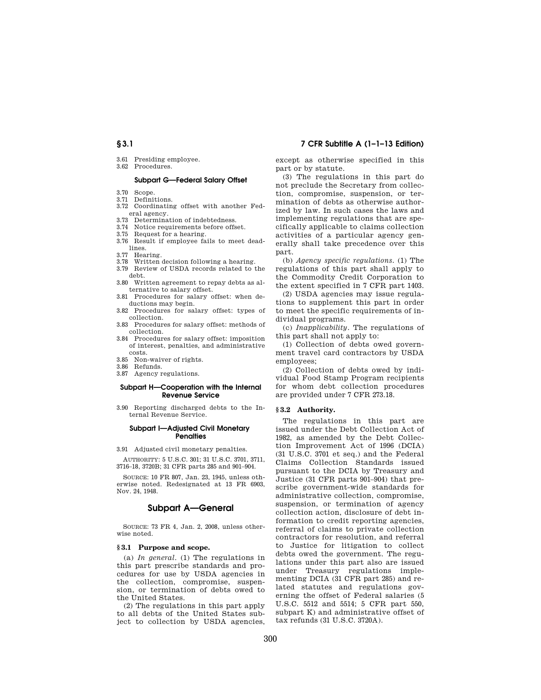- 3.61 Presiding employee.
- 3.62 Procedures.

## **Subpart G—Federal Salary Offset**

- 3.70 Scope. 3.71 Definitions.
- 3.72 Coordinating offset with another Federal agency.
- 
- 3.73 Determination of indebtedness. 3.74 Notice requirements before offset.
- 3.75 Request for a hearing.
- 3.76 Result if employee fails to meet deadlines.
- 3.77 Hearing.
- 3.78 Written decision following a hearing.
- 3.79 Review of USDA records related to the debt.
- 3.80 Written agreement to repay debts as alternative to salary offset.
- 3.81 Procedures for salary offset: when deductions may begin.
- 3.82 Procedures for salary offset: types of collection.
- 3.83 Procedures for salary offset: methods of collection.
- 3.84 Procedures for salary offset: imposition of interest, penalties, and administrative costs.
- 3.85 Non-waiver of rights.
- 3.86 Refunds.
- 3.87 Agency regulations.

## **Subpart H—Cooperation with the Internal Revenue Service**

3.90 Reporting discharged debts to the Internal Revenue Service.

#### **Subpart I—Adjusted Civil Monetary Penalties**

3.91 Adjusted civil monetary penalties.

AUTHORITY: 5 U.S.C. 301; 31 U.S.C. 3701, 3711, 3716–18, 3720B; 31 CFR parts 285 and 901–904.

SOURCE: 10 FR 807, Jan. 23, 1945, unless otherwise noted. Redesignated at 13 FR 6903, Nov. 24, 1948.

## **Subpart A—General**

SOURCE: 73 FR 4, Jan. 2, 2008, unless otherwise noted.

## **§ 3.1 Purpose and scope.**

(a) *In general*. (1) The regulations in this part prescribe standards and procedures for use by USDA agencies in the collection, compromise, suspension, or termination of debts owed to the United States.

(2) The regulations in this part apply to all debts of the United States subject to collection by USDA agencies,

## **§ 3.1 7 CFR Subtitle A (1–1–13 Edition)**

except as otherwise specified in this part or by statute.

(3) The regulations in this part do not preclude the Secretary from collection, compromise, suspension, or termination of debts as otherwise authorized by law. In such cases the laws and implementing regulations that are specifically applicable to claims collection activities of a particular agency generally shall take precedence over this part.

(b) *Agency specific regulations.* (1) The regulations of this part shall apply to the Commodity Credit Corporation to the extent specified in 7 CFR part 1403.

(2) USDA agencies may issue regulations to supplement this part in order to meet the specific requirements of individual programs.

(c) *Inapplicability.* The regulations of this part shall not apply to:

(1) Collection of debts owed government travel card contractors by USDA employees;

(2) Collection of debts owed by individual Food Stamp Program recipients for whom debt collection procedures are provided under 7 CFR 273.18.

#### **§ 3.2 Authority.**

The regulations in this part are issued under the Debt Collection Act of 1982, as amended by the Debt Collection Improvement Act of 1996 (DCIA) (31 U.S.C. 3701 et seq.) and the Federal Claims Collection Standards issued pursuant to the DCIA by Treasury and Justice (31 CFR parts 901–904) that prescribe government-wide standards for administrative collection, compromise, suspension, or termination of agency collection action, disclosure of debt information to credit reporting agencies, referral of claims to private collection contractors for resolution, and referral to Justice for litigation to collect debts owed the government. The regulations under this part also are issued under Treasury regulations implementing DCIA (31 CFR part 285) and related statutes and regulations governing the offset of Federal salaries (5 U.S.C. 5512 and 5514; 5 CFR part 550, subpart K) and administrative offset of tax refunds (31 U.S.C. 3720A).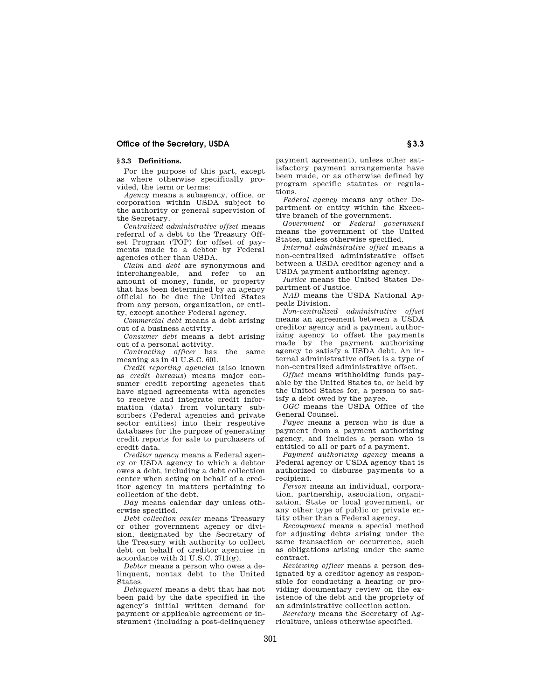## **Office of the Secretary, USDA Similar state of the Secretary, USDA Similar state of the Secretary, USD**

## **§ 3.3 Definitions.**

For the purpose of this part, except as where otherwise specifically provided, the term or terms:

*Agency* means a subagency, office, or corporation within USDA subject to the authority or general supervision of the Secretary.

*Centralized administrative offset* means referral of a debt to the Treasury Offset Program (TOP) for offset of payments made to a debtor by Federal agencies other than USDA.

*Claim* and *debt* are synonymous and interchangeable, and refer to an amount of money, funds, or property that has been determined by an agency official to be due the United States from any person, organization, or entity, except another Federal agency.

*Commercial debt* means a debt arising out of a business activity.

*Consumer debt* means a debt arising out of a personal activity.

*Contracting officer* has the same meaning as in 41 U.S.C. 601.

*Credit reporting agencies* (also known as *credit bureaus*) means major consumer credit reporting agencies that have signed agreements with agencies to receive and integrate credit information (data) from voluntary subscribers (Federal agencies and private sector entities) into their respective databases for the purpose of generating credit reports for sale to purchasers of credit data.

*Creditor agency* means a Federal agency or USDA agency to which a debtor owes a debt, including a debt collection center when acting on behalf of a creditor agency in matters pertaining to collection of the debt.

*Day* means calendar day unless otherwise specified.

*Debt collection center* means Treasury or other government agency or division, designated by the Secretary of the Treasury with authority to collect debt on behalf of creditor agencies in accordance with 31 U.S.C. 3711(g).

*Debtor* means a person who owes a delinquent, nontax debt to the United States.

*Delinquent* means a debt that has not been paid by the date specified in the agency's initial written demand for payment or applicable agreement or instrument (including a post-delinquency

payment agreement), unless other satisfactory payment arrangements have been made, or as otherwise defined by program specific statutes or regulations.

*Federal agency* means any other Department or entity within the Executive branch of the government.

*Government* or *Federal government*  means the government of the United States, unless otherwise specified.

*Internal administrative offset* means a non-centralized administrative offset between a USDA creditor agency and a USDA payment authorizing agency.

*Justice* means the United States Department of Justice.

*NAD* means the USDA National Appeals Division.

*Non-centralized administrative offset*  means an agreement between a USDA creditor agency and a payment authorizing agency to offset the payments made by the payment authorizing agency to satisfy a USDA debt. An internal administrative offset is a type of non-centralized administrative offset.

*Offset* means withholding funds payable by the United States to, or held by the United States for, a person to satisfy a debt owed by the payee.

*OGC* means the USDA Office of the General Counsel.

*Payee* means a person who is due a payment from a payment authorizing agency, and includes a person who is entitled to all or part of a payment.

*Payment authorizing agency* means a Federal agency or USDA agency that is authorized to disburse payments to a recipient.

*Person* means an individual, corporation, partnership, association, organization, State or local government, or any other type of public or private entity other than a Federal agency.

*Recoupment* means a special method for adjusting debts arising under the same transaction or occurrence, such as obligations arising under the same contract.

*Reviewing officer* means a person designated by a creditor agency as responsible for conducting a hearing or providing documentary review on the existence of the debt and the propriety of an administrative collection action.

*Secretary* means the Secretary of Agriculture, unless otherwise specified.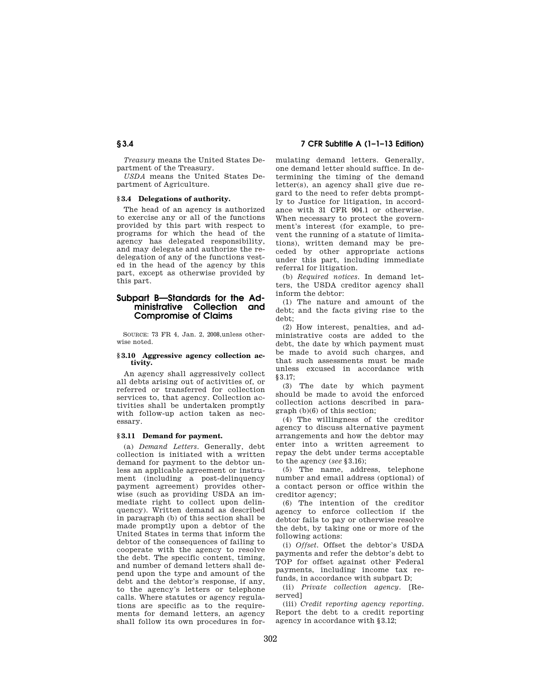*Treasury* means the United States Department of the Treasury.

*USDA* means the United States Department of Agriculture.

## **§ 3.4 Delegations of authority.**

The head of an agency is authorized to exercise any or all of the functions provided by this part with respect to programs for which the head of the agency has delegated responsibility, and may delegate and authorize the redelegation of any of the functions vested in the head of the agency by this part, except as otherwise provided by this part.

## **Subpart B—Standards for the Administrative Collection and Compromise of Claims**

SOURCE: 73 FR 4, Jan. 2, 2008,unless otherwise noted.

#### **§ 3.10 Aggressive agency collection activity.**

An agency shall aggressively collect all debts arising out of activities of, or referred or transferred for collection services to, that agency. Collection activities shall be undertaken promptly with follow-up action taken as necessary.

### **§ 3.11 Demand for payment.**

(a) *Demand Letters.* Generally, debt collection is initiated with a written demand for payment to the debtor unless an applicable agreement or instrument (including a post-delinquency payment agreement) provides otherwise (such as providing USDA an immediate right to collect upon delinquency). Written demand as described in paragraph (b) of this section shall be made promptly upon a debtor of the United States in terms that inform the debtor of the consequences of failing to cooperate with the agency to resolve the debt. The specific content, timing, and number of demand letters shall depend upon the type and amount of the debt and the debtor's response, if any, to the agency's letters or telephone calls. Where statutes or agency regulations are specific as to the requirements for demand letters, an agency shall follow its own procedures in for-

**§ 3.4 7 CFR Subtitle A (1–1–13 Edition)** 

mulating demand letters. Generally, one demand letter should suffice. In determining the timing of the demand letter(s), an agency shall give due regard to the need to refer debts promptly to Justice for litigation, in accordance with 31 CFR 904.1 or otherwise. When necessary to protect the government's interest (for example, to prevent the running of a statute of limitations), written demand may be preceded by other appropriate actions under this part, including immediate referral for litigation.

(b) *Required notices.* In demand letters, the USDA creditor agency shall inform the debtor:

(1) The nature and amount of the debt; and the facts giving rise to the debt;

(2) How interest, penalties, and administrative costs are added to the debt, the date by which payment must be made to avoid such charges, and that such assessments must be made unless excused in accordance with §3.17;

(3) The date by which payment should be made to avoid the enforced collection actions described in paragraph (b)(6) of this section;

(4) The willingness of the creditor agency to discuss alternative payment arrangements and how the debtor may enter into a written agreement to repay the debt under terms acceptable to the agency (*see* §3.16);

(5) The name, address, telephone number and email address (optional) of a contact person or office within the creditor agency;

(6) The intention of the creditor agency to enforce collection if the debtor fails to pay or otherwise resolve the debt, by taking one or more of the following actions:

(i) *Offset.* Offset the debtor's USDA payments and refer the debtor's debt to TOP for offset against other Federal payments, including income tax refunds, in accordance with subpart D;

(ii) *Private collection agency.* [Reserved]

(iii) *Credit reporting agency reporting.*  Report the debt to a credit reporting agency in accordance with §3.12;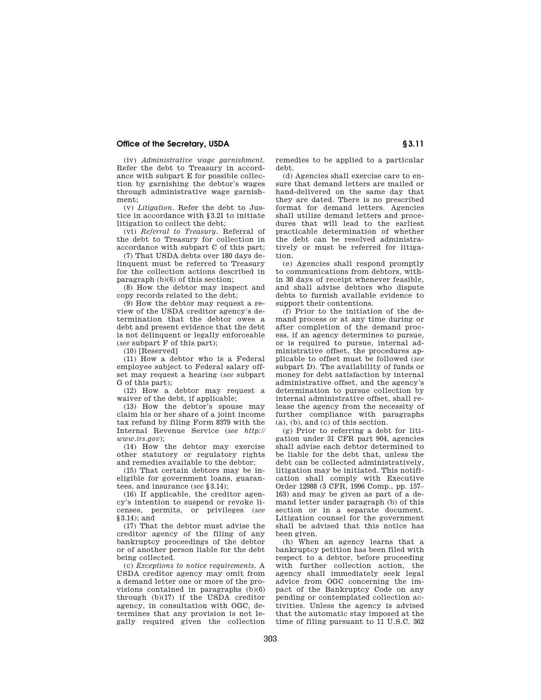## **Office of the Secretary, USDA S** 3.11

(iv) *Administrative wage garnishment.*  Refer the debt to Treasury in accordance with subpart E for possible collection by garnishing the debtor's wages through administrative wage garnishment;

(v) *Litigation.* Refer the debt to Justice in accordance with §3.21 to initiate litigation to collect the debt;

(vi) *Referral to Treasury.* Referral of the debt to Treasury for collection in accordance with subpart C of this part;

(7) That USDA debts over 180 days delinquent must be referred to Treasury for the collection actions described in paragraph (b)(6) of this section;

(8) How the debtor may inspect and copy records related to the debt;

(9) How the debtor may request a review of the USDA creditor agency's determination that the debtor owes a debt and present evidence that the debt is not delinquent or legally enforceable (*see* subpart F of this part);

(10) [Reserved]

(11) How a debtor who is a Federal employee subject to Federal salary offset may request a hearing (*see* subpart G of this part);

(12) How a debtor may request a waiver of the debt, if applicable;

(13) How the debtor's spouse may claim his or her share of a joint income tax refund by filing Form 8379 with the Internal Revenue Service (*see http:// www.irs.gov*);

(14) How the debtor may exercise other statutory or regulatory rights and remedies available to the debtor;

(15) That certain debtors may be ineligible for government loans, guarantees, and insurance (*see* §3.14);

(16) If applicable, the creditor agency's intention to suspend or revoke licenses, permits, or privileges (*see*   $83.14$ ; and

(17) That the debtor must advise the creditor agency of the filing of any bankruptcy proceedings of the debtor or of another person liable for the debt being collected.

(c) *Exceptions to notice requirements.* A USDA creditor agency may omit from a demand letter one or more of the provisions contained in paragraphs (b)(6) through  $(b)(17)$  if the USDA creditor agency, in consultation with OGC, determines that any provision is not legally required given the collection remedies to be applied to a particular debt.

(d) Agencies shall exercise care to ensure that demand letters are mailed or hand-delivered on the same day that they are dated. There is no prescribed format for demand letters. Agencies shall utilize demand letters and procedures that will lead to the earliest practicable determination of whether the debt can be resolved administratively or must be referred for litigation.

(e) Agencies shall respond promptly to communications from debtors, within 30 days of receipt whenever feasible, and shall advise debtors who dispute debts to furnish available evidence to support their contentions.

(f) Prior to the initiation of the demand process or at any time during or after completion of the demand process, if an agency determines to pursue, or is required to pursue, internal administrative offset, the procedures applicable to offset must be followed (*see*  subpart D). The availability of funds or money for debt satisfaction by internal administrative offset, and the agency's determination to pursue collection by internal administrative offset, shall release the agency from the necessity of further compliance with paragraphs  $(a)$ ,  $(b)$ , and  $(c)$  of this section.

(g) Prior to referring a debt for litigation under 31 CFR part 904, agencies shall advise each debtor determined to be liable for the debt that, unless the debt can be collected administratively, litigation may be initiated. This notification shall comply with Executive Order 12988 (3 CFR, 1996 Comp., pp. 157– 163) and may be given as part of a demand letter under paragraph (b) of this section or in a separate document. Litigation counsel for the government shall be advised that this notice has been given.

(h) When an agency learns that a bankruptcy petition has been filed with respect to a debtor, before proceeding with further collection action, the agency shall immediately seek legal advice from OGC concerning the impact of the Bankruptcy Code on any pending or contemplated collection activities. Unless the agency is advised that the automatic stay imposed at the time of filing pursuant to 11 U.S.C. 362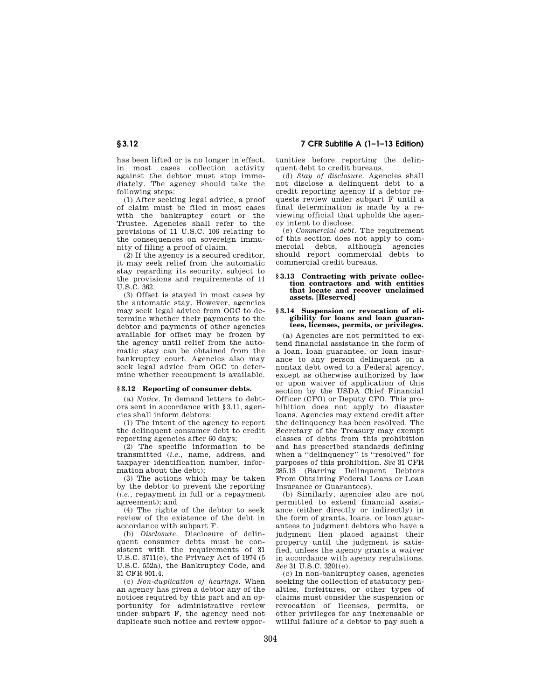has been lifted or is no longer in effect, in most cases collection activity against the debtor must stop immediately. The agency should take the following steps:

(1) After seeking legal advice, a proof of claim must be filed in most cases with the bankruptcy court or the Trustee. Agencies shall refer to the provisions of 11 U.S.C. 106 relating to the consequences on sovereign immunity of filing a proof of claim.

(2) If the agency is a secured creditor, it may seek relief from the automatic stay regarding its security, subject to the provisions and requirements of 11 U.S.C. 362.

(3) Offset is stayed in most cases by the automatic stay. However, agencies may seek legal advice from OGC to determine whether their payments to the debtor and payments of other agencies available for offset may be frozen by the agency until relief from the automatic stay can be obtained from the bankruptcy court. Agencies also may seek legal advice from OGC to determine whether recoupment is available.

#### **§ 3.12 Reporting of consumer debts.**

(a) *Notice.* In demand letters to debtors sent in accordance with §3.11, agencies shall inform debtors:

(1) The intent of the agency to report the delinquent consumer debt to credit reporting agencies after 60 days;

(2) The specific information to be transmitted (*i.e.*, name, address, and taxpayer identification number, information about the debt);

(3) The actions which may be taken by the debtor to prevent the reporting (*i.e.,* repayment in full or a repayment agreement); and

(4) The rights of the debtor to seek review of the existence of the debt in accordance with subpart F.

(b) *Disclosure.* Disclosure of delinquent consumer debts must be consistent with the requirements of 31 U.S.C. 3711(e), the Privacy Act of 1974 (5 U.S.C. 552a), the Bankruptcy Code, and 31 CFR 901.4.

(c) *Non-duplication of hearings.* When an agency has given a debtor any of the notices required by this part and an opportunity for administrative review under subpart F, the agency need not duplicate such notice and review oppor-

**§ 3.12 7 CFR Subtitle A (1–1–13 Edition)** 

tunities before reporting the delinquent debt to credit bureaus.

(d) *Stay of disclosure.* Agencies shall not disclose a delinquent debt to a credit reporting agency if a debtor requests review under subpart F until a final determination is made by a reviewing official that upholds the agency intent to disclose.

(e) *Commercial debt.* The requirement of this section does not apply to commercial debts, although agencies should report commercial debts to commercial credit bureaus.

#### **§ 3.13 Contracting with private collection contractors and with entities that locate and recover unclaimed assets. [Reserved]**

#### **§ 3.14 Suspension or revocation of eligibility for loans and loan guarantees, licenses, permits, or privileges.**

(a) Agencies are not permitted to extend financial assistance in the form of a loan, loan guarantee, or loan insurance to any person delinquent on a nontax debt owed to a Federal agency, except as otherwise authorized by law or upon waiver of application of this section by the USDA Chief Financial Officer (CFO) or Deputy CFO. This prohibition does not apply to disaster loans. Agencies may extend credit after the delinquency has been resolved. The Secretary of the Treasury may exempt classes of debts from this prohibition and has prescribed standards defining when a ''delinquency'' is ''resolved'' for purposes of this prohibition. *See* 31 CFR 285.13 (Barring Delinquent Debtors From Obtaining Federal Loans or Loan Insurance or Guarantees).

(b) Similarly, agencies also are not permitted to extend financial assistance (either directly or indirectly) in the form of grants, loans, or loan guarantees to judgment debtors who have a judgment lien placed against their property until the judgment is satisfied, unless the agency grants a waiver in accordance with agency regulations. *See* 31 U.S.C. 3201(e).

(c) In non-bankruptcy cases, agencies seeking the collection of statutory penalties, forfeitures, or other types of claims must consider the suspension or revocation of licenses, permits, or other privileges for any inexcusable or willful failure of a debtor to pay such a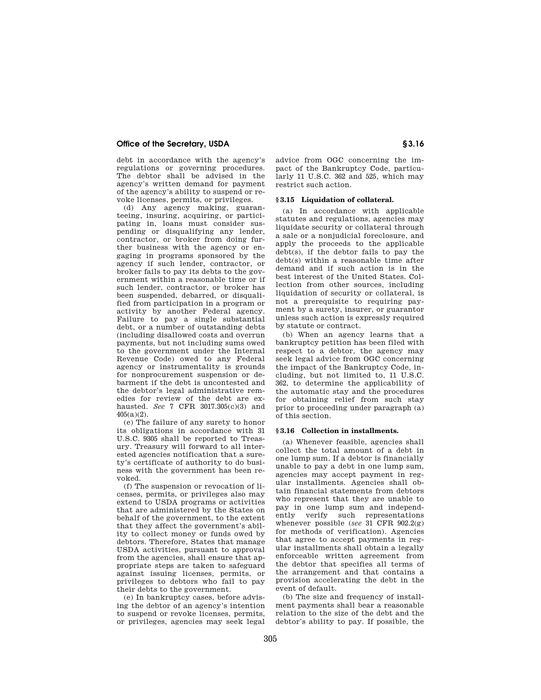## **Office of the Secretary, USDA S** 3.16

debt in accordance with the agency's regulations or governing procedures. The debtor shall be advised in the agency's written demand for payment of the agency's ability to suspend or revoke licenses, permits, or privileges.

(d) Any agency making, guaranteeing, insuring, acquiring, or participating in, loans must consider suspending or disqualifying any lender, contractor, or broker from doing further business with the agency or engaging in programs sponsored by the agency if such lender, contractor, or broker fails to pay its debts to the government within a reasonable time or if such lender, contractor, or broker has been suspended, debarred, or disqualified from participation in a program or activity by another Federal agency. Failure to pay a single substantial debt, or a number of outstanding debts (including disallowed costs and overrun payments, but not including sums owed to the government under the Internal Revenue Code) owed to any Federal agency or instrumentality is grounds for nonprocurement suspension or debarment if the debt is uncontested and the debtor's legal administrative remedies for review of the debt are exhausted. *See* 7 CFR 3017.305(c)(3) and 405(a)(2).

(e) The failure of any surety to honor its obligations in accordance with 31 U.S.C. 9305 shall be reported to Treasury. Treasury will forward to all interested agencies notification that a surety's certificate of authority to do business with the government has been revoked.

(f) The suspension or revocation of licenses, permits, or privileges also may extend to USDA programs or activities that are administered by the States on behalf of the government, to the extent that they affect the government's ability to collect money or funds owed by debtors. Therefore, States that manage USDA activities, pursuant to approval from the agencies, shall ensure that appropriate steps are taken to safeguard against issuing licenses, permits, or privileges to debtors who fail to pay their debts to the government.

(e) In bankruptcy cases, before advising the debtor of an agency's intention to suspend or revoke licenses, permits, or privileges, agencies may seek legal advice from OGC concerning the impact of the Bankruptcy Code, particularly 11 U.S.C. 362 and 525, which may restrict such action.

#### **§ 3.15 Liquidation of collateral.**

(a) In accordance with applicable statutes and regulations, agencies may liquidate security or collateral through a sale or a nonjudicial foreclosure, and apply the proceeds to the applicable debt(s), if the debtor fails to pay the debt(s) within a reasonable time after demand and if such action is in the best interest of the United States. Collection from other sources, including liquidation of security or collateral, is not a prerequisite to requiring payment by a surety, insurer, or guarantor unless such action is expressly required by statute or contract.

(b) When an agency learns that a bankruptcy petition has been filed with respect to a debtor, the agency may seek legal advice from OGC concerning the impact of the Bankruptcy Code, including, but not limited to, 11 U.S.C. 362, to determine the applicability of the automatic stay and the procedures for obtaining relief from such stay prior to proceeding under paragraph (a) of this section.

#### **§ 3.16 Collection in installments.**

(a) Whenever feasible, agencies shall collect the total amount of a debt in one lump sum. If a debtor is financially unable to pay a debt in one lump sum, agencies may accept payment in regular installments. Agencies shall obtain financial statements from debtors who represent that they are unable to pay in one lump sum and independently verify such representations whenever possible (*see* 31 CFR 902.2(g) for methods of verification). Agencies that agree to accept payments in regular installments shall obtain a legally enforceable written agreement from the debtor that specifies all terms of the arrangement and that contains a provision accelerating the debt in the event of default.

(b) The size and frequency of installment payments shall bear a reasonable relation to the size of the debt and the debtor's ability to pay. If possible, the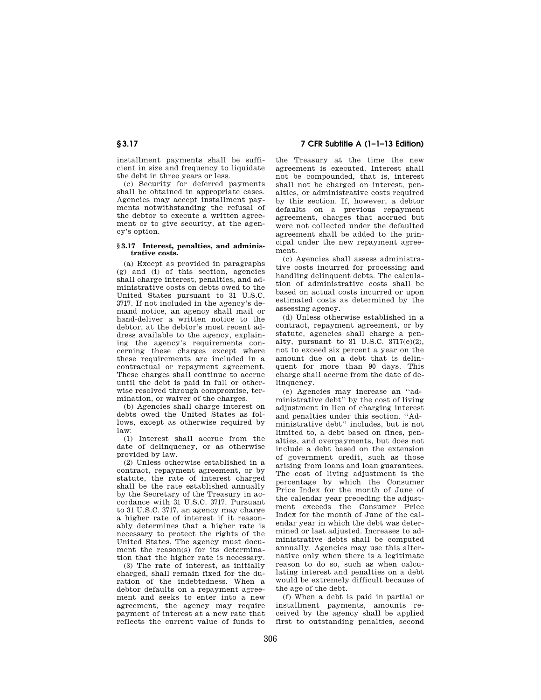installment payments shall be sufficient in size and frequency to liquidate the debt in three years or less.

(c) Security for deferred payments shall be obtained in appropriate cases. Agencies may accept installment payments notwithstanding the refusal of the debtor to execute a written agreement or to give security, at the agency's option.

#### **§ 3.17 Interest, penalties, and administrative costs.**

(a) Except as provided in paragraphs (g) and (i) of this section, agencies shall charge interest, penalties, and administrative costs on debts owed to the United States pursuant to 31 U.S.C. 3717. If not included in the agency's demand notice, an agency shall mail or hand-deliver a written notice to the debtor, at the debtor's most recent address available to the agency, explaining the agency's requirements concerning these charges except where these requirements are included in a contractual or repayment agreement. These charges shall continue to accrue until the debt is paid in full or otherwise resolved through compromise, termination, or waiver of the charges.

(b) Agencies shall charge interest on debts owed the United States as follows, except as otherwise required by  $law<sup>2</sup>$ 

(1) Interest shall accrue from the date of delinquency, or as otherwise provided by law.

(2) Unless otherwise established in a contract, repayment agreement, or by statute, the rate of interest charged shall be the rate established annually by the Secretary of the Treasury in accordance with 31 U.S.C. 3717. Pursuant to 31 U.S.C. 3717, an agency may charge a higher rate of interest if it reasonably determines that a higher rate is necessary to protect the rights of the United States. The agency must document the reason(s) for its determination that the higher rate is necessary.

(3) The rate of interest, as initially charged, shall remain fixed for the duration of the indebtedness. When a debtor defaults on a repayment agreement and seeks to enter into a new agreement, the agency may require payment of interest at a new rate that reflects the current value of funds to

**§ 3.17 7 CFR Subtitle A (1–1–13 Edition)** 

the Treasury at the time the new agreement is executed. Interest shall not be compounded, that is, interest shall not be charged on interest, penalties, or administrative costs required by this section. If, however, a debtor defaults on a previous repayment agreement, charges that accrued but were not collected under the defaulted agreement shall be added to the principal under the new repayment agreement.

(c) Agencies shall assess administrative costs incurred for processing and handling delinquent debts. The calculation of administrative costs shall be based on actual costs incurred or upon estimated costs as determined by the assessing agency.

(d) Unless otherwise established in a contract, repayment agreement, or by statute, agencies shall charge a penalty, pursuant to 31 U.S.C. 3717(e)(2), not to exceed six percent a year on the amount due on a debt that is delinquent for more than 90 days. This charge shall accrue from the date of delinquency.

(e) Agencies may increase an ''administrative debt'' by the cost of living adjustment in lieu of charging interest and penalties under this section. ''Administrative debt'' includes, but is not limited to, a debt based on fines, penalties, and overpayments, but does not include a debt based on the extension of government credit, such as those arising from loans and loan guarantees. The cost of living adjustment is the percentage by which the Consumer Price Index for the month of June of the calendar year preceding the adjustment exceeds the Consumer Price Index for the month of June of the calendar year in which the debt was determined or last adjusted. Increases to administrative debts shall be computed annually. Agencies may use this alternative only when there is a legitimate reason to do so, such as when calculating interest and penalties on a debt would be extremely difficult because of the age of the debt.

(f) When a debt is paid in partial or installment payments, amounts received by the agency shall be applied first to outstanding penalties, second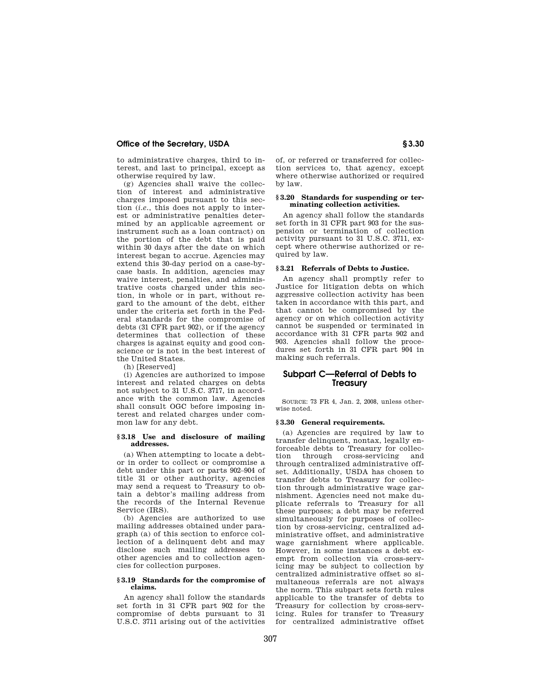## **Office of the Secretary, USDA § 3.30**

to administrative charges, third to interest, and last to principal, except as otherwise required by law.

(g) Agencies shall waive the collection of interest and administrative charges imposed pursuant to this section (*i.e.*, this does not apply to interest or administrative penalties determined by an applicable agreement or instrument such as a loan contract) on the portion of the debt that is paid within 30 days after the date on which interest began to accrue. Agencies may extend this 30-day period on a case-bycase basis. In addition, agencies may waive interest, penalties, and administrative costs charged under this section, in whole or in part, without regard to the amount of the debt, either under the criteria set forth in the Federal standards for the compromise of debts (31 CFR part 902), or if the agency determines that collection of these charges is against equity and good conscience or is not in the best interest of the United States.

(h) [Reserved]

(i) Agencies are authorized to impose interest and related charges on debts not subject to 31 U.S.C. 3717, in accordance with the common law. Agencies shall consult OGC before imposing interest and related charges under common law for any debt.

#### **§ 3.18 Use and disclosure of mailing addresses.**

(a) When attempting to locate a debtor in order to collect or compromise a debt under this part or parts 902–904 of title 31 or other authority, agencies may send a request to Treasury to obtain a debtor's mailing address from the records of the Internal Revenue Service *(IRS)*.

(b) Agencies are authorized to use mailing addresses obtained under paragraph (a) of this section to enforce collection of a delinquent debt and may disclose such mailing addresses to other agencies and to collection agencies for collection purposes.

#### **§ 3.19 Standards for the compromise of claims.**

An agency shall follow the standards set forth in 31 CFR part 902 for the compromise of debts pursuant to 31 U.S.C. 3711 arising out of the activities of, or referred or transferred for collection services to, that agency, except where otherwise authorized or required by law.

#### **§ 3.20 Standards for suspending or terminating collection activities.**

An agency shall follow the standards set forth in 31 CFR part 903 for the suspension or termination of collection activity pursuant to 31 U.S.C. 3711, except where otherwise authorized or required by law.

#### **§ 3.21 Referrals of Debts to Justice.**

An agency shall promptly refer to Justice for litigation debts on which aggressive collection activity has been taken in accordance with this part, and that cannot be compromised by the agency or on which collection activity cannot be suspended or terminated in accordance with 31 CFR parts 902 and 903. Agencies shall follow the procedures set forth in 31 CFR part 904 in making such referrals.

## **Subpart C—Referral of Debts to Treasury**

SOURCE: 73 FR 4, Jan. 2, 2008, unless otherwise noted.

#### **§ 3.30 General requirements.**

(a) Agencies are required by law to transfer delinquent, nontax, legally enforceable debts to Treasury for collection through cross-servicing and through centralized administrative offset. Additionally, USDA has chosen to transfer debts to Treasury for collection through administrative wage garnishment. Agencies need not make duplicate referrals to Treasury for all these purposes; a debt may be referred simultaneously for purposes of collection by cross-servicing, centralized administrative offset, and administrative wage garnishment where applicable. However, in some instances a debt exempt from collection via cross-servicing may be subject to collection by centralized administrative offset so simultaneous referrals are not always the norm. This subpart sets forth rules applicable to the transfer of debts to Treasury for collection by cross-servicing. Rules for transfer to Treasury for centralized administrative offset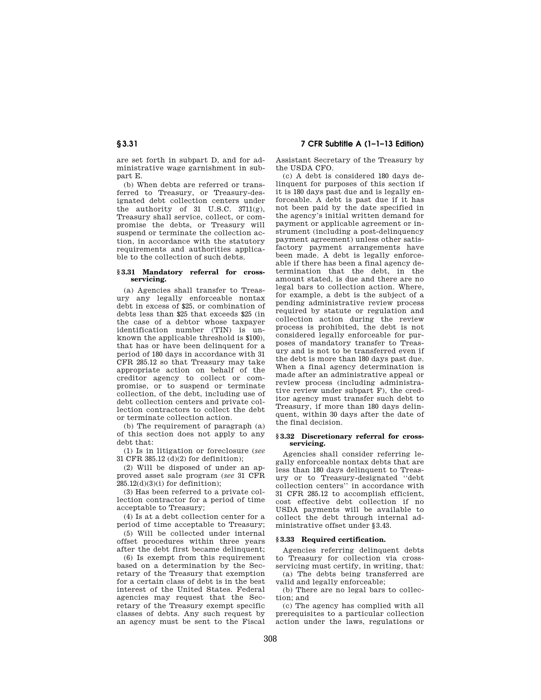are set forth in subpart D, and for administrative wage garnishment in subpart E.

(b) When debts are referred or transferred to Treasury, or Treasury-designated debt collection centers under the authority of 31 U.S.C. 3711(g), Treasury shall service, collect, or compromise the debts, or Treasury will suspend or terminate the collection action, in accordance with the statutory requirements and authorities applicable to the collection of such debts.

#### **§ 3.31 Mandatory referral for crossservicing.**

(a) Agencies shall transfer to Treasury any legally enforceable nontax debt in excess of \$25, or combination of debts less than \$25 that exceeds \$25 (in the case of a debtor whose taxpayer identification number (TIN) is unknown the applicable threshold is \$100), that has or have been delinquent for a period of 180 days in accordance with 31 CFR 285.12 so that Treasury may take appropriate action on behalf of the creditor agency to collect or compromise, or to suspend or terminate collection, of the debt, including use of debt collection centers and private collection contractors to collect the debt or terminate collection action.

(b) The requirement of paragraph (a) of this section does not apply to any debt that:

(1) Is in litigation or foreclosure (*see*  31 CFR 385.12 (d)(2) for definition);

(2) Will be disposed of under an approved asset sale program (*see* 31 CFR 285.12(d)(3)(i) for definition);

(3) Has been referred to a private collection contractor for a period of time acceptable to Treasury;

(4) Is at a debt collection center for a period of time acceptable to Treasury;

(5) Will be collected under internal offset procedures within three years after the debt first became delinquent;

(6) Is exempt from this requirement based on a determination by the Secretary of the Treasury that exemption for a certain class of debt is in the best interest of the United States. Federal agencies may request that the Secretary of the Treasury exempt specific classes of debts. Any such request by an agency must be sent to the Fiscal

**§ 3.31 7 CFR Subtitle A (1–1–13 Edition)** 

Assistant Secretary of the Treasury by the USDA CFO.

(c) A debt is considered 180 days delinquent for purposes of this section if it is 180 days past due and is legally enforceable. A debt is past due if it has not been paid by the date specified in the agency's initial written demand for payment or applicable agreement or instrument (including a post-delinquency payment agreement) unless other satisfactory payment arrangements have been made. A debt is legally enforceable if there has been a final agency determination that the debt, in the amount stated, is due and there are no legal bars to collection action. Where, for example, a debt is the subject of a pending administrative review process required by statute or regulation and collection action during the review process is prohibited, the debt is not considered legally enforceable for purposes of mandatory transfer to Treasury and is not to be transferred even if the debt is more than 180 days past due. When a final agency determination is made after an administrative appeal or review process (including administrative review under subpart F), the creditor agency must transfer such debt to Treasury, if more than 180 days delinquent, within 30 days after the date of the final decision.

#### **§ 3.32 Discretionary referral for crossservicing.**

Agencies shall consider referring legally enforceable nontax debts that are less than 180 days delinquent to Treasury or to Treasury-designated ''debt collection centers'' in accordance with 31 CFR 285.12 to accomplish efficient, cost effective debt collection if no USDA payments will be available to collect the debt through internal administrative offset under §3.43.

## **§ 3.33 Required certification.**

Agencies referring delinquent debts to Treasury for collection via crossservicing must certify, in writing, that:

(a) The debts being transferred are valid and legally enforceable;

(b) There are no legal bars to collection; and

(c) The agency has complied with all prerequisites to a particular collection action under the laws, regulations or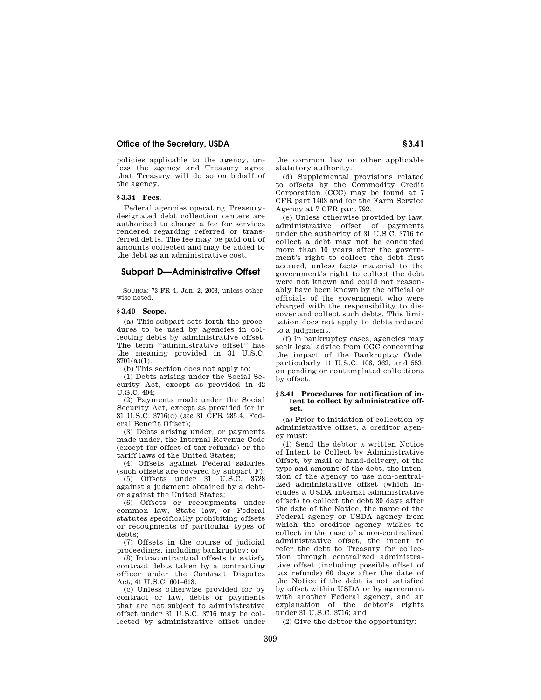## **Office of the Secretary, USDA S3.41**

policies applicable to the agency, unless the agency and Treasury agree that Treasury will do so on behalf of the agency.

## **§ 3.34 Fees.**

Federal agencies operating Treasurydesignated debt collection centers are authorized to charge a fee for services rendered regarding referred or transferred debts. The fee may be paid out of amounts collected and may be added to the debt as an administrative cost.

#### **Subpart D—Administrative Offset**

SOURCE: 73 FR 4, Jan. 2, 2008, unless otherwise noted.

## **§ 3.40 Scope.**

(a) This subpart sets forth the procedures to be used by agencies in collecting debts by administrative offset. The term ''administrative offset'' has the meaning provided in 31 U.S.C. 3701(a)(1).

(b) This section does not apply to:

(1) Debts arising under the Social Security Act, except as provided in 42 U.S.C. 404;

(2) Payments made under the Social Security Act, except as provided for in 31 U.S.C. 3716(c) (*see* 31 CFR 285.4, Federal Benefit Offset);

(3) Debts arising under, or payments made under, the Internal Revenue Code (except for offset of tax refunds) or the tariff laws of the United States;

(4) Offsets against Federal salaries (such offsets are covered by subpart F);

(5) Offsets under 31 U.S.C. 3728 against a judgment obtained by a debtor against the United States;

(6) Offsets or recoupments under common law, State law, or Federal statutes specifically prohibiting offsets or recoupments of particular types of debts;

(7) Offsets in the course of judicial proceedings, including bankruptcy; or

(8) Intracontractual offsets to satisfy contract debts taken by a contracting officer under the Contract Disputes Act, 41 U.S.C. 601–613.

(c) Unless otherwise provided for by contract or law, debts or payments that are not subject to administrative offset under 31 U.S.C. 3716 may be collected by administrative offset under

the common law or other applicable statutory authority.

(d) Supplemental provisions related to offsets by the Commodity Credit Corporation (CCC) may be found at 7 CFR part 1403 and for the Farm Service Agency at 7 CFR part 792.

(e) Unless otherwise provided by law, administrative offset of payments under the authority of 31 U.S.C. 3716 to collect a debt may not be conducted more than 10 years after the government's right to collect the debt first accrued, unless facts material to the government's right to collect the debt were not known and could not reasonably have been known by the official or officials of the government who were charged with the responsibility to discover and collect such debts. This limitation does not apply to debts reduced to a judgment.

(f) In bankruptcy cases, agencies may seek legal advice from OGC concerning the impact of the Bankruptcy Code, particularly 11 U.S.C. 106, 362, and 553, on pending or contemplated collections by offset.

#### **§ 3.41 Procedures for notification of intent to collect by administrative offset.**

(a) Prior to initiation of collection by administrative offset, a creditor agency must:

(1) Send the debtor a written Notice of Intent to Collect by Administrative Offset, by mail or hand-delivery, of the type and amount of the debt, the intention of the agency to use non-centralized administrative offset (which includes a USDA internal administrative offset) to collect the debt 30 days after the date of the Notice, the name of the Federal agency or USDA agency from which the creditor agency wishes to collect in the case of a non-centralized administrative offset, the intent to refer the debt to Treasury for collection through centralized administrative offset (including possible offset of tax refunds) 60 days after the date of the Notice if the debt is not satisfied by offset within USDA or by agreement with another Federal agency, and an explanation of the debtor's rights under 31 U.S.C. 3716; and

(2) Give the debtor the opportunity: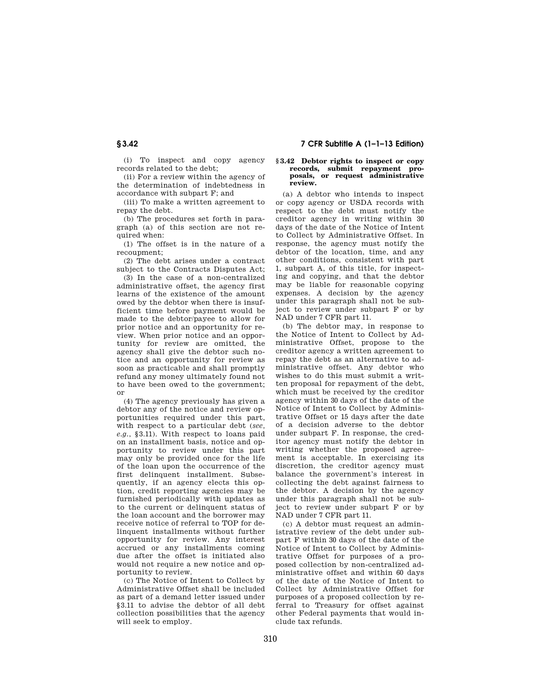(i) To inspect and copy agency records related to the debt;

(ii) For a review within the agency of the determination of indebtedness in accordance with subpart F; and

(iii) To make a written agreement to repay the debt.

(b) The procedures set forth in paragraph (a) of this section are not required when:

(1) The offset is in the nature of a recoupment;

(2) The debt arises under a contract subject to the Contracts Disputes Act;

(3) In the case of a non-centralized administrative offset, the agency first learns of the existence of the amount owed by the debtor when there is insufficient time before payment would be made to the debtor/payee to allow for prior notice and an opportunity for review. When prior notice and an opportunity for review are omitted, the agency shall give the debtor such notice and an opportunity for review as soon as practicable and shall promptly refund any money ultimately found not to have been owed to the government; or

(4) The agency previously has given a debtor any of the notice and review opportunities required under this part, with respect to a particular debt (*see, e.g.*, §3.11). With respect to loans paid on an installment basis, notice and opportunity to review under this part may only be provided once for the life of the loan upon the occurrence of the first delinquent installment. Subsequently, if an agency elects this option, credit reporting agencies may be furnished periodically with updates as to the current or delinquent status of the loan account and the borrower may receive notice of referral to TOP for delinquent installments without further opportunity for review. Any interest accrued or any installments coming due after the offset is initiated also would not require a new notice and opportunity to review.

(c) The Notice of Intent to Collect by Administrative Offset shall be included as part of a demand letter issued under §3.11 to advise the debtor of all debt collection possibilities that the agency will seek to employ.

#### **§ 3.42 Debtor rights to inspect or copy records, submit repayment proposals, or request administrative review.**

(a) A debtor who intends to inspect or copy agency or USDA records with respect to the debt must notify the creditor agency in writing within 30 days of the date of the Notice of Intent to Collect by Administrative Offset. In response, the agency must notify the debtor of the location, time, and any other conditions, consistent with part 1, subpart A, of this title, for inspecting and copying, and that the debtor may be liable for reasonable copying expenses. A decision by the agency under this paragraph shall not be subject to review under subpart F or by NAD under 7 CFR part 11.

(b) The debtor may, in response to the Notice of Intent to Collect by Administrative Offset, propose to the creditor agency a written agreement to repay the debt as an alternative to administrative offset. Any debtor who wishes to do this must submit a written proposal for repayment of the debt, which must be received by the creditor agency within 30 days of the date of the Notice of Intent to Collect by Administrative Offset or 15 days after the date of a decision adverse to the debtor under subpart F. In response, the creditor agency must notify the debtor in writing whether the proposed agreement is acceptable. In exercising its discretion, the creditor agency must balance the government's interest in collecting the debt against fairness to the debtor. A decision by the agency under this paragraph shall not be subject to review under subpart F or by NAD under 7 CFR part 11.

(c) A debtor must request an administrative review of the debt under subpart F within 30 days of the date of the Notice of Intent to Collect by Administrative Offset for purposes of a proposed collection by non-centralized administrative offset and within 60 days of the date of the Notice of Intent to Collect by Administrative Offset for purposes of a proposed collection by referral to Treasury for offset against other Federal payments that would include tax refunds.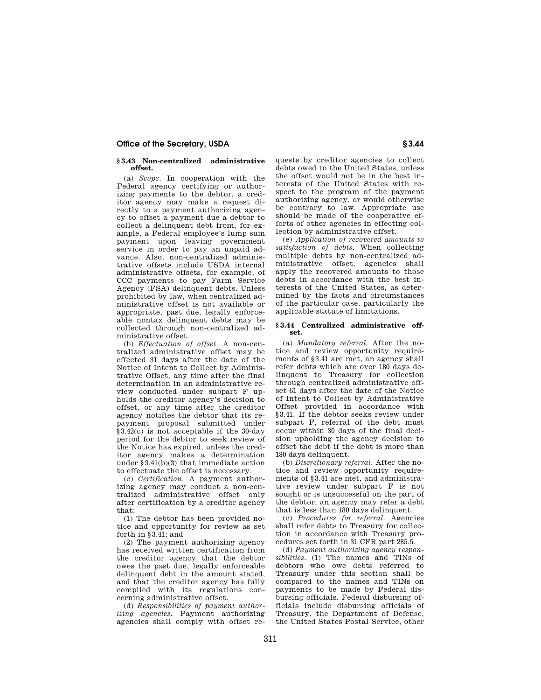## **Office of the Secretary, USDA S3.44 § 3.44**

#### **§ 3.43 Non-centralized administrative offset.**

(a) *Scope.* In cooperation with the Federal agency certifying or authorizing payments to the debtor, a creditor agency may make a request directly to a payment authorizing agency to offset a payment due a debtor to collect a delinquent debt from, for example, a Federal employee's lump sum payment upon leaving government service in order to pay an unpaid advance. Also, non-centralized administrative offsets include USDA internal administrative offsets, for example, of CCC payments to pay Farm Service Agency (FSA) delinquent debts. Unless prohibited by law, when centralized administrative offset is not available or appropriate, past due, legally enforceable nontax delinquent debts may be collected through non-centralized administrative offset.

(b) *Effectuation of offset.* A non-centralized administrative offset may be effected 31 days after the date of the Notice of Intent to Collect by Administrative Offset, any time after the final determination in an administrative review conducted under subpart F upholds the creditor agency's decision to offset, or any time after the creditor agency notifies the debtor that its repayment proposal submitted under §3.42(c) is not acceptable if the 30-day period for the debtor to seek review of the Notice has expired, unless the creditor agency makes a determination under §3.41(b)(3) that immediate action to effectuate the offset is necessary.

(c) *Certification.* A payment authorizing agency may conduct a non-centralized administrative offset only after certification by a creditor agency that:

(1) The debtor has been provided notice and opportunity for review as set forth in §3.41; and

(2) The payment authorizing agency has received written certification from the creditor agency that the debtor owes the past due, legally enforceable delinquent debt in the amount stated, and that the creditor agency has fully complied with its regulations concerning administrative offset.

(d) *Responsibilities of payment authorizing agencies.* Payment authorizing agencies shall comply with offset re-

quests by creditor agencies to collect debts owed to the United States, unless the offset would not be in the best interests of the United States with respect to the program of the payment authorizing agency, or would otherwise be contrary to law. Appropriate use should be made of the cooperative efforts of other agencies in effecting collection by administrative offset.

(e) *Application of recovered amounts to satisfaction of debts.* When collecting multiple debts by non-centralized administrative offset, agencies shall apply the recovered amounts to those debts in accordance with the best interests of the United States, as determined by the facts and circumstances of the particular case, particularly the applicable statute of limitations.

#### **§ 3.44 Centralized administrative offset.**

(a) *Mandatory referral.* After the notice and review opportunity requirements of §3.41 are met, an agency shall refer debts which are over 180 days delinquent to Treasury for collection through centralized administrative offset 61 days after the date of the Notice of Intent to Collect by Administrative Offset provided in accordance with §3.41. If the debtor seeks review under subpart F, referral of the debt must occur within 30 days of the final decision upholding the agency decision to offset the debt if the debt is more than 180 days delinquent.

(b) *Discretionary referral.* After the notice and review opportunity requirements of §3.41 are met, and administrative review under subpart F is not sought or is unsuccessful on the part of the debtor, an agency may refer a debt that is less than 180 days delinquent.

(c) *Procedures for referral.* Agencies shall refer debts to Treasury for collection in accordance with Treasury procedures set forth in 31 CFR part 285.5.

(d) *Payment authorizing agency responsibilities.* (1) The names and TINs of debtors who owe debts referred to Treasury under this section shall be compared to the names and TINs on payments to be made by Federal disbursing officials. Federal disbursing officials include disbursing officials of Treasury, the Department of Defense, the United States Postal Service, other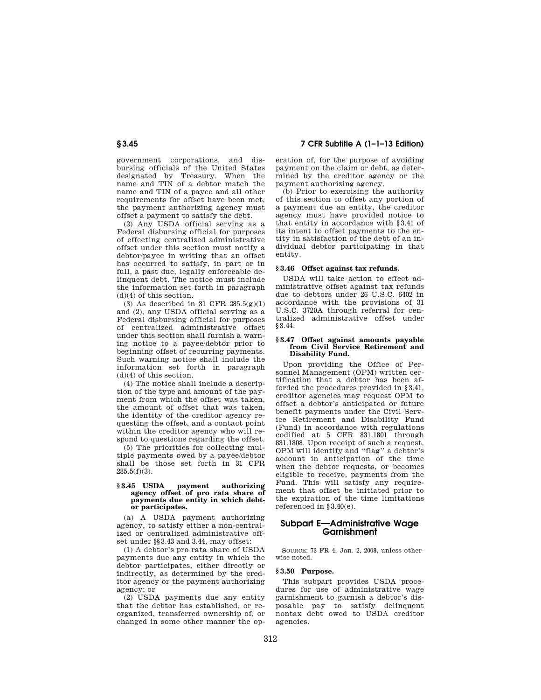## **§ 3.45 7 CFR Subtitle A (1–1–13 Edition)**

government corporations, and disbursing officials of the United States designated by Treasury. When the name and TIN of a debtor match the name and TIN of a payee and all other requirements for offset have been met, the payment authorizing agency must offset a payment to satisfy the debt.

(2) Any USDA official serving as a Federal disbursing official for purposes of effecting centralized administrative offset under this section must notify a debtor/payee in writing that an offset has occurred to satisfy, in part or in full, a past due, legally enforceable delinquent debt. The notice must include the information set forth in paragraph (d)(4) of this section.

(3) As described in 31 CFR  $285.5(g)(1)$ and (2), any USDA official serving as a Federal disbursing official for purposes of centralized administrative offset under this section shall furnish a warning notice to a payee/debtor prior to beginning offset of recurring payments. Such warning notice shall include the information set forth in paragraph (d)(4) of this section.

(4) The notice shall include a description of the type and amount of the payment from which the offset was taken, the amount of offset that was taken, the identity of the creditor agency requesting the offset, and a contact point within the creditor agency who will respond to questions regarding the offset.

(5) The priorities for collecting multiple payments owed by a payee/debtor shall be those set forth in 31 CFR  $285.5(f)(3)$ .

#### **§ 3.45 USDA payment authorizing agency offset of pro rata share of payments due entity in which debtor participates.**

(a) A USDA payment authorizing agency, to satisfy either a non-centralized or centralized administrative offset under §§3.43 and 3.44, may offset:

(1) A debtor's pro rata share of USDA payments due any entity in which the debtor participates, either directly or indirectly, as determined by the creditor agency or the payment authorizing agency; or

(2) USDA payments due any entity that the debtor has established, or reorganized, transferred ownership of, or changed in some other manner the operation of, for the purpose of avoiding payment on the claim or debt, as determined by the creditor agency or the payment authorizing agency.

(b) Prior to exercising the authority of this section to offset any portion of a payment due an entity, the creditor agency must have provided notice to that entity in accordance with §3.41 of its intent to offset payments to the entity in satisfaction of the debt of an individual debtor participating in that entity.

## **§ 3.46 Offset against tax refunds.**

USDA will take action to effect administrative offset against tax refunds due to debtors under 26 U.S.C. 6402 in accordance with the provisions of 31 U.S.C. 3720A through referral for centralized administrative offset under §3.44.

## **§ 3.47 Offset against amounts payable from Civil Service Retirement and Disability Fund.**

Upon providing the Office of Personnel Management (OPM) written certification that a debtor has been afforded the procedures provided in §3.41, creditor agencies may request OPM to offset a debtor's anticipated or future benefit payments under the Civil Service Retirement and Disability Fund (Fund) in accordance with regulations codified at 5 CFR 831.1801 through 831.1808. Upon receipt of such a request, OPM will identify and ''flag'' a debtor's account in anticipation of the time when the debtor requests, or becomes eligible to receive, payments from the Fund. This will satisfy any requirement that offset be initiated prior to the expiration of the time limitations referenced in §3.40(e).

## **Subpart E—Administrative Wage Garnishment**

SOURCE: 73 FR 4, Jan. 2, 2008, unless otherwise noted.

#### **§ 3.50 Purpose.**

This subpart provides USDA procedures for use of administrative wage garnishment to garnish a debtor's disposable pay to satisfy delinquent nontax debt owed to USDA creditor agencies.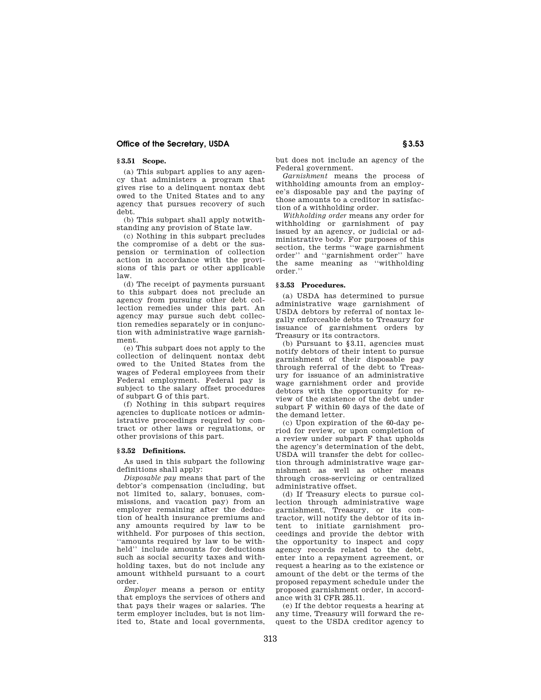## **Office of the Secretary, USDA § 3.53**

## **§ 3.51 Scope.**

(a) This subpart applies to any agency that administers a program that gives rise to a delinquent nontax debt owed to the United States and to any agency that pursues recovery of such debt.

(b) This subpart shall apply notwithstanding any provision of State law.

(c) Nothing in this subpart precludes the compromise of a debt or the suspension or termination of collection action in accordance with the provisions of this part or other applicable law.

(d) The receipt of payments pursuant to this subpart does not preclude an agency from pursuing other debt collection remedies under this part. An agency may pursue such debt collection remedies separately or in conjunction with administrative wage garnishment.

(e) This subpart does not apply to the collection of delinquent nontax debt owed to the United States from the wages of Federal employees from their Federal employment. Federal pay is subject to the salary offset procedures of subpart G of this part.

(f) Nothing in this subpart requires agencies to duplicate notices or administrative proceedings required by contract or other laws or regulations, or other provisions of this part.

#### **§ 3.52 Definitions.**

As used in this subpart the following definitions shall apply:

*Disposable pay* means that part of the debtor's compensation (including, but not limited to, salary, bonuses, commissions, and vacation pay) from an employer remaining after the deduction of health insurance premiums and any amounts required by law to be withheld. For purposes of this section, ''amounts required by law to be withheld'' include amounts for deductions such as social security taxes and withholding taxes, but do not include any amount withheld pursuant to a court order.

*Employer* means a person or entity that employs the services of others and that pays their wages or salaries. The term employer includes, but is not limited to, State and local governments, but does not include an agency of the Federal government.

*Garnishment* means the process of withholding amounts from an employee's disposable pay and the paying of those amounts to a creditor in satisfaction of a withholding order.

*Withholding order* means any order for withholding or garnishment of pay issued by an agency, or judicial or administrative body. For purposes of this section, the terms ''wage garnishment order'' and ''garnishment order'' have the same meaning as ''withholding order.''

## **§ 3.53 Procedures.**

(a) USDA has determined to pursue administrative wage garnishment of USDA debtors by referral of nontax legally enforceable debts to Treasury for issuance of garnishment orders by Treasury or its contractors.

(b) Pursuant to §3.11, agencies must notify debtors of their intent to pursue garnishment of their disposable pay through referral of the debt to Treasury for issuance of an administrative wage garnishment order and provide debtors with the opportunity for review of the existence of the debt under subpart F within 60 days of the date of the demand letter.

(c) Upon expiration of the 60-day period for review, or upon completion of a review under subpart F that upholds the agency's determination of the debt, USDA will transfer the debt for collection through administrative wage garnishment as well as other means through cross-servicing or centralized administrative offset.

(d) If Treasury elects to pursue collection through administrative wage garnishment, Treasury, or its contractor, will notify the debtor of its intent to initiate garnishment proceedings and provide the debtor with the opportunity to inspect and copy agency records related to the debt, enter into a repayment agreement, or request a hearing as to the existence or amount of the debt or the terms of the proposed repayment schedule under the proposed garnishment order, in accordance with 31 CFR 285.11.

(e) If the debtor requests a hearing at any time, Treasury will forward the request to the USDA creditor agency to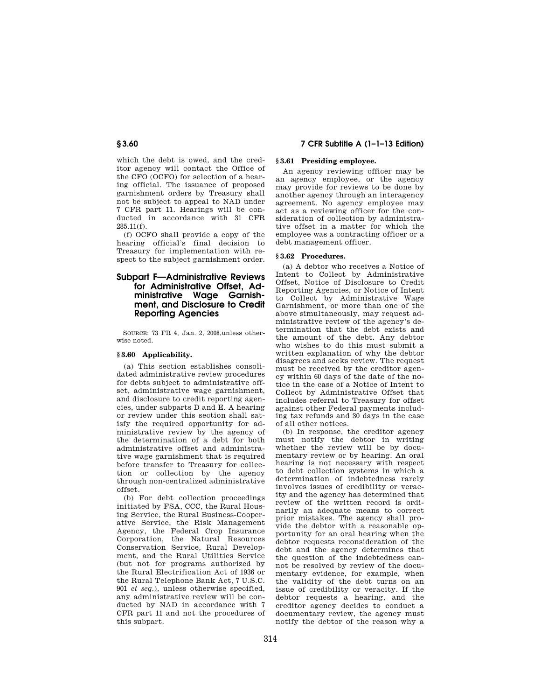which the debt is owed, and the creditor agency will contact the Office of the CFO (OCFO) for selection of a hearing official. The issuance of proposed garnishment orders by Treasury shall not be subject to appeal to NAD under 7 CFR part 11. Hearings will be conducted in accordance with 31 CFR 285.11(f).

(f) OCFO shall provide a copy of the hearing official's final decision to Treasury for implementation with respect to the subject garnishment order.

## **Subpart F—Administrative Reviews for Administrative Offset, Administrative Wage Garnishment, and Disclosure to Credit Reporting Agencies**

SOURCE: 73 FR 4, Jan. 2, 2008,unless otherwise noted.

## **§ 3.60 Applicability.**

(a) This section establishes consolidated administrative review procedures for debts subject to administrative offset, administrative wage garnishment, and disclosure to credit reporting agencies, under subparts D and E. A hearing or review under this section shall satisfy the required opportunity for administrative review by the agency of the determination of a debt for both administrative offset and administrative wage garnishment that is required before transfer to Treasury for collection or collection by the agency through non-centralized administrative offset.

(b) For debt collection proceedings initiated by FSA, CCC, the Rural Housing Service, the Rural Business-Cooperative Service, the Risk Management Agency, the Federal Crop Insurance Corporation, the Natural Resources Conservation Service, Rural Development, and the Rural Utilities Service (but not for programs authorized by the Rural Electrification Act of 1936 or the Rural Telephone Bank Act, 7 U.S.C. 901 *et seq.*), unless otherwise specified, any administrative review will be conducted by NAD in accordance with 7 CFR part 11 and not the procedures of this subpart.

## **§ 3.60 7 CFR Subtitle A (1–1–13 Edition)**

## **§ 3.61 Presiding employee.**

An agency reviewing officer may be an agency employee, or the agency may provide for reviews to be done by another agency through an interagency agreement. No agency employee may act as a reviewing officer for the consideration of collection by administrative offset in a matter for which the employee was a contracting officer or a debt management officer.

## **§ 3.62 Procedures.**

(a) A debtor who receives a Notice of Intent to Collect by Administrative Offset, Notice of Disclosure to Credit Reporting Agencies, or Notice of Intent to Collect by Administrative Wage Garnishment, or more than one of the above simultaneously, may request administrative review of the agency's determination that the debt exists and the amount of the debt. Any debtor who wishes to do this must submit a written explanation of why the debtor disagrees and seeks review. The request must be received by the creditor agency within 60 days of the date of the notice in the case of a Notice of Intent to Collect by Administrative Offset that includes referral to Treasury for offset against other Federal payments including tax refunds and 30 days in the case of all other notices.

(b) In response, the creditor agency must notify the debtor in writing whether the review will be by documentary review or by hearing. An oral hearing is not necessary with respect to debt collection systems in which a determination of indebtedness rarely involves issues of credibility or veracity and the agency has determined that review of the written record is ordinarily an adequate means to correct prior mistakes. The agency shall provide the debtor with a reasonable opportunity for an oral hearing when the debtor requests reconsideration of the debt and the agency determines that the question of the indebtedness cannot be resolved by review of the documentary evidence, for example, when the validity of the debt turns on an issue of credibility or veracity. If the debtor requests a hearing, and the creditor agency decides to conduct a documentary review, the agency must notify the debtor of the reason why a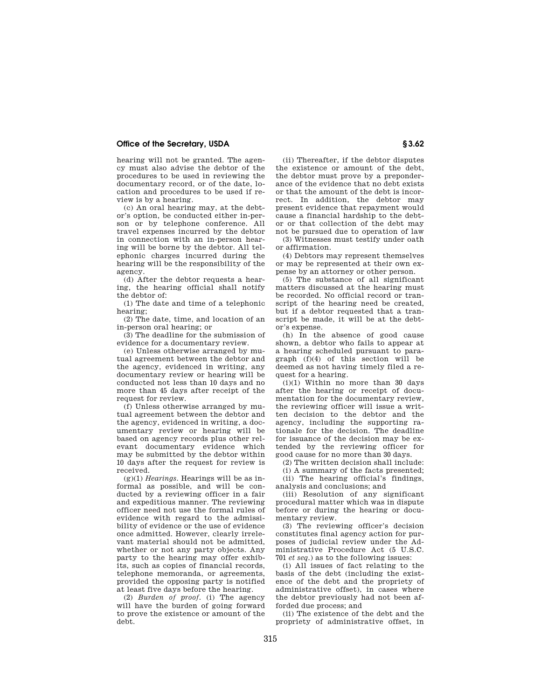## **Office of the Secretary, USDA S** 3.62

hearing will not be granted. The agency must also advise the debtor of the procedures to be used in reviewing the documentary record, or of the date, location and procedures to be used if review is by a hearing.

(c) An oral hearing may, at the debtor's option, be conducted either in-person or by telephone conference. All travel expenses incurred by the debtor in connection with an in-person hearing will be borne by the debtor. All telephonic charges incurred during the hearing will be the responsibility of the agency.

(d) After the debtor requests a hearing, the hearing official shall notify the debtor of:

(1) The date and time of a telephonic hearing;

(2) The date, time, and location of an in-person oral hearing; or

(3) The deadline for the submission of evidence for a documentary review.

(e) Unless otherwise arranged by mutual agreement between the debtor and the agency, evidenced in writing, any documentary review or hearing will be conducted not less than 10 days and no more than 45 days after receipt of the request for review.

(f) Unless otherwise arranged by mutual agreement between the debtor and the agency, evidenced in writing, a documentary review or hearing will be based on agency records plus other relevant documentary evidence which may be submitted by the debtor within 10 days after the request for review is received.

 $(g)(1)$  *Hearings*. Hearings will be as informal as possible, and will be conducted by a reviewing officer in a fair and expeditious manner. The reviewing officer need not use the formal rules of evidence with regard to the admissibility of evidence or the use of evidence once admitted. However, clearly irrelevant material should not be admitted, whether or not any party objects. Any party to the hearing may offer exhibits, such as copies of financial records, telephone memoranda, or agreements, provided the opposing party is notified at least five days before the hearing.

(2) *Burden of proof.* (i) The agency will have the burden of going forward to prove the existence or amount of the debt.

(ii) Thereafter, if the debtor disputes the existence or amount of the debt, the debtor must prove by a preponderance of the evidence that no debt exists or that the amount of the debt is incorrect. In addition, the debtor may present evidence that repayment would cause a financial hardship to the debtor or that collection of the debt may not be pursued due to operation of law

(3) Witnesses must testify under oath or affirmation.

(4) Debtors may represent themselves or may be represented at their own expense by an attorney or other person.

(5) The substance of all significant matters discussed at the hearing must be recorded. No official record or transcript of the hearing need be created, but if a debtor requested that a transcript be made, it will be at the debtor's expense.

(h) In the absence of good cause shown, a debtor who fails to appear at a hearing scheduled pursuant to paragraph (f)(4) of this section will be deemed as not having timely filed a request for a hearing.

(i)(1) Within no more than 30 days after the hearing or receipt of documentation for the documentary review, the reviewing officer will issue a written decision to the debtor and the agency, including the supporting rationale for the decision. The deadline for issuance of the decision may be extended by the reviewing officer for good cause for no more than 30 days.

(2) The written decision shall include:

(i) A summary of the facts presented; (ii) The hearing official's findings, analysis and conclusions; and

(iii) Resolution of any significant procedural matter which was in dispute before or during the hearing or documentary review.

(3) The reviewing officer's decision constitutes final agency action for purposes of judicial review under the Administrative Procedure Act (5 U.S.C. 701 *et seq.*) as to the following issues:

(i) All issues of fact relating to the basis of the debt (including the existence of the debt and the propriety of administrative offset), in cases where the debtor previously had not been afforded due process; and

(ii) The existence of the debt and the propriety of administrative offset, in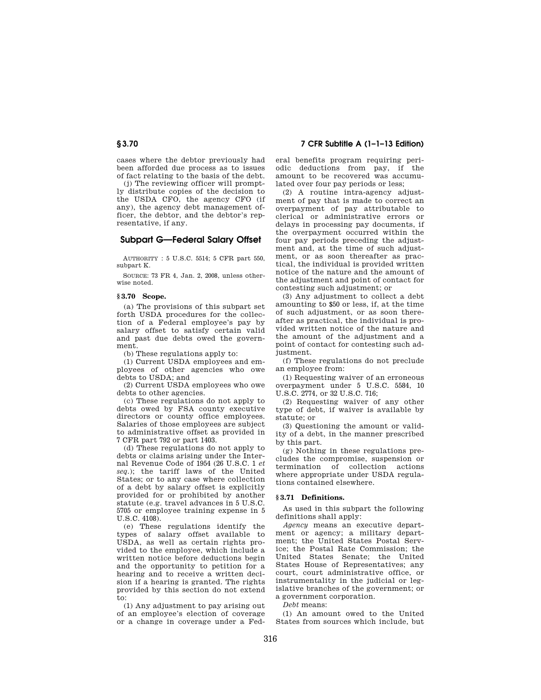## **§ 3.70 7 CFR Subtitle A (1–1–13 Edition)**

cases where the debtor previously had been afforded due process as to issues of fact relating to the basis of the debt.

(j) The reviewing officer will promptly distribute copies of the decision to the USDA CFO, the agency CFO (if any), the agency debt management officer, the debtor, and the debtor's representative, if any.

## **Subpart G—Federal Salary Offset**

AUTHORITY : 5 U.S.C. 5514; 5 CFR part 550, subpart K.

SOURCE: 73 FR 4, Jan. 2, 2008, unless otherwise noted.

### **§ 3.70 Scope.**

(a) The provisions of this subpart set forth USDA procedures for the collection of a Federal employee's pay by salary offset to satisfy certain valid and past due debts owed the government.

(b) These regulations apply to:

(1) Current USDA employees and employees of other agencies who owe debts to USDA; and

(2) Current USDA employees who owe debts to other agencies.

(c) These regulations do not apply to debts owed by FSA county executive directors or county office employees. Salaries of those employees are subject to administrative offset as provided in 7 CFR part 792 or part 1403.

(d) These regulations do not apply to debts or claims arising under the Internal Revenue Code of 1954 (26 U.S.C. 1 *et seq.*); the tariff laws of the United States; or to any case where collection of a debt by salary offset is explicitly provided for or prohibited by another statute (e.g. travel advances in 5 U.S.C. 5705 or employee training expense in 5  $U.S.C. 4108$ 

(e) These regulations identify the types of salary offset available to USDA, as well as certain rights provided to the employee, which include a written notice before deductions begin and the opportunity to petition for a hearing and to receive a written decision if a hearing is granted. The rights provided by this section do not extend to:

(1) Any adjustment to pay arising out of an employee's election of coverage or a change in coverage under a Federal benefits program requiring periodic deductions from pay, if the amount to be recovered was accumulated over four pay periods or less;

(2) A routine intra-agency adjustment of pay that is made to correct an overpayment of pay attributable to clerical or administrative errors or delays in processing pay documents, if the overpayment occurred within the four pay periods preceding the adjustment and, at the time of such adjustment, or as soon thereafter as practical, the individual is provided written notice of the nature and the amount of the adjustment and point of contact for contesting such adjustment; or

(3) Any adjustment to collect a debt amounting to \$50 or less, if, at the time of such adjustment, or as soon thereafter as practical, the individual is provided written notice of the nature and the amount of the adjustment and a point of contact for contesting such adjustment.

(f) These regulations do not preclude an employee from:

(1) Requesting waiver of an erroneous overpayment under 5 U.S.C. 5584, 10 U.S.C. 2774, or 32 U.S.C. 716;

(2) Requesting waiver of any other type of debt, if waiver is available by statute; or

(3) Questioning the amount or validity of a debt, in the manner prescribed by this part.

(g) Nothing in these regulations precludes the compromise, suspension or termination of collection actions where appropriate under USDA regulations contained elsewhere.

## **§ 3.71 Definitions.**

As used in this subpart the following definitions shall apply:

*Agency* means an executive department or agency; a military department; the United States Postal Service; the Postal Rate Commission; the United States Senate; the United States House of Representatives; any court, court administrative office, or instrumentality in the judicial or legislative branches of the government; or a government corporation.

*Debt* means:

(1) An amount owed to the United States from sources which include, but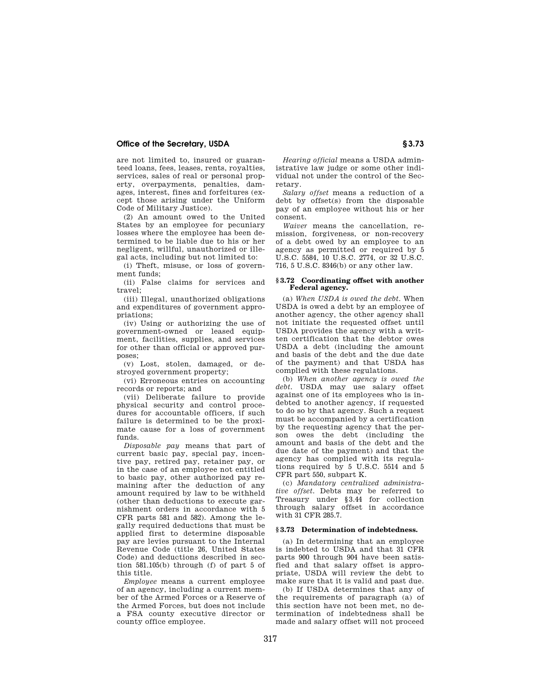## **Office of the Secretary, USDA S** 3.73

are not limited to, insured or guaranteed loans, fees, leases, rents, royalties, services, sales of real or personal property, overpayments, penalties, damages, interest, fines and forfeitures (except those arising under the Uniform Code of Military Justice).

(2) An amount owed to the United States by an employee for pecuniary losses where the employee has been determined to be liable due to his or her negligent, willful, unauthorized or illegal acts, including but not limited to:

(i) Theft, misuse, or loss of government funds;

(ii) False claims for services and travel;

(iii) Illegal, unauthorized obligations and expenditures of government appropriations;

(iv) Using or authorizing the use of government-owned or leased equipment, facilities, supplies, and services for other than official or approved purposes;

(v) Lost, stolen, damaged, or destroyed government property;

(vi) Erroneous entries on accounting records or reports; and

(vii) Deliberate failure to provide physical security and control procedures for accountable officers, if such failure is determined to be the proximate cause for a loss of government funds.

*Disposable pay* means that part of current basic pay, special pay, incentive pay, retired pay, retainer pay, or in the case of an employee not entitled to basic pay, other authorized pay remaining after the deduction of any amount required by law to be withheld (other than deductions to execute garnishment orders in accordance with 5 CFR parts 581 and 582). Among the legally required deductions that must be applied first to determine disposable pay are levies pursuant to the Internal Revenue Code (title 26, United States Code) and deductions described in section 581.105(b) through (f) of part 5 of this title.

*Employee* means a current employee of an agency, including a current member of the Armed Forces or a Reserve of the Armed Forces, but does not include a FSA county executive director or county office employee.

*Hearing official* means a USDA administrative law judge or some other individual not under the control of the Secretary.

*Salary offset* means a reduction of a debt by offset(s) from the disposable pay of an employee without his or her consent.

*Waiver* means the cancellation, remission, forgiveness, or non-recovery of a debt owed by an employee to an agency as permitted or required by 5 U.S.C. 5584, 10 U.S.C. 2774, or 32 U.S.C. 716, 5 U.S.C. 8346(b) or any other law.

#### **§ 3.72 Coordinating offset with another Federal agency.**

(a) *When USDA is owed the debt.* When USDA is owed a debt by an employee of another agency, the other agency shall not initiate the requested offset until USDA provides the agency with a written certification that the debtor owes USDA a debt (including the amount and basis of the debt and the due date of the payment) and that USDA has complied with these regulations.

(b) *When another agency is owed the debt.* USDA may use salary offset against one of its employees who is indebted to another agency, if requested to do so by that agency. Such a request must be accompanied by a certification by the requesting agency that the person owes the debt (including the amount and basis of the debt and the due date of the payment) and that the agency has complied with its regulations required by 5 U.S.C. 5514 and 5 CFR part 550, subpart K.

(c) *Mandatory centralized administrative offset.* Debts may be referred to Treasury under §3.44 for collection through salary offset in accordance with 31 CFR 285.7.

#### **§ 3.73 Determination of indebtedness.**

(a) In determining that an employee is indebted to USDA and that 31 CFR parts 900 through 904 have been satisfied and that salary offset is appropriate, USDA will review the debt to make sure that it is valid and past due.

(b) If USDA determines that any of the requirements of paragraph (a) of this section have not been met, no determination of indebtedness shall be made and salary offset will not proceed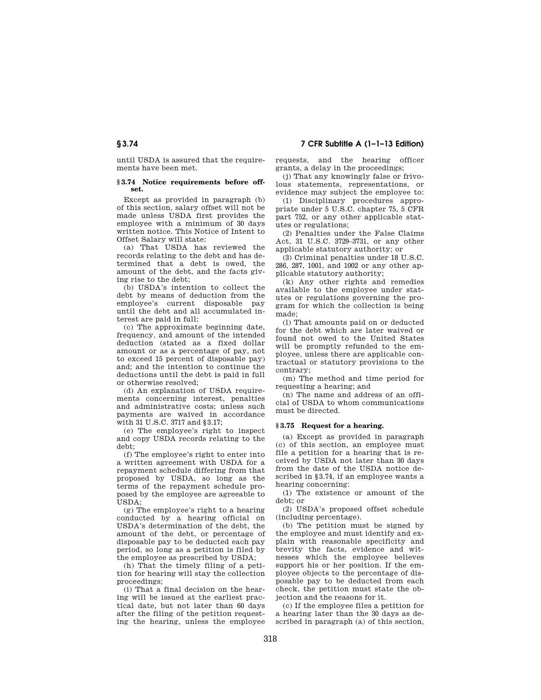until USDA is assured that the requirements have been met.

#### **§ 3.74 Notice requirements before offset.**

Except as provided in paragraph (b) of this section, salary offset will not be made unless USDA first provides the employee with a minimum of 30 days written notice. This Notice of Intent to Offset Salary will state:

(a) That USDA has reviewed the records relating to the debt and has determined that a debt is owed, the amount of the debt, and the facts giving rise to the debt;

(b) USDA's intention to collect the debt by means of deduction from the employee's current disposable pay until the debt and all accumulated interest are paid in full;

(c) The approximate beginning date, frequency, and amount of the intended deduction (stated as a fixed dollar amount or as a percentage of pay, not to exceed 15 percent of disposable pay) and; and the intention to continue the deductions until the debt is paid in full or otherwise resolved;

(d) An explanation of USDA requirements concerning interest, penalties and administrative costs; unless such payments are waived in accordance with 31 U.S.C. 3717 and §3.17;

(e) The employee's right to inspect and copy USDA records relating to the debt;

(f) The employee's right to enter into a written agreement with USDA for a repayment schedule differing from that proposed by USDA, so long as the terms of the repayment schedule proposed by the employee are agreeable to USDA;

(g) The employee's right to a hearing conducted by a hearing official on USDA's determination of the debt, the amount of the debt, or percentage of disposable pay to be deducted each pay period, so long as a petition is filed by the employee as prescribed by USDA;

(h) That the timely filing of a petition for hearing will stay the collection proceedings;

(i) That a final decision on the hearing will be issued at the earliest practical date, but not later than 60 days after the filing of the petition requesting the hearing, unless the employee requests, and the hearing officer grants, a delay in the proceedings;

(j) That any knowingly false or frivolous statements, representations, or evidence may subject the employee to:

(1) Disciplinary procedures appropriate under 5 U.S.C. chapter 75, 5 CFR part 752, or any other applicable statutes or regulations;

(2) Penalties under the False Claims Act, 31 U.S.C. 3729–3731, or any other applicable statutory authority; or

(3) Criminal penalties under 18 U.S.C. 286, 287, 1001, and 1002 or any other applicable statutory authority;

(k) Any other rights and remedies available to the employee under statutes or regulations governing the program for which the collection is being made;

(l) That amounts paid on or deducted for the debt which are later waived or found not owed to the United States will be promptly refunded to the employee, unless there are applicable contractual or statutory provisions to the contrary;

(m) The method and time period for requesting a hearing; and

(n) The name and address of an official of USDA to whom communications must be directed.

## **§ 3.75 Request for a hearing.**

(a) Except as provided in paragraph (c) of this section, an employee must file a petition for a hearing that is received by USDA not later than 30 days from the date of the USDA notice described in §3.74, if an employee wants a hearing concerning:

(1) The existence or amount of the debt; or

(2) USDA's proposed offset schedule (including percentage).

(b) The petition must be signed by the employee and must identify and explain with reasonable specificity and brevity the facts, evidence and witnesses which the employee believes support his or her position. If the employee objects to the percentage of disposable pay to be deducted from each check, the petition must state the objection and the reasons for it.

(c) If the employee files a petition for a hearing later than the 30 days as described in paragraph (a) of this section,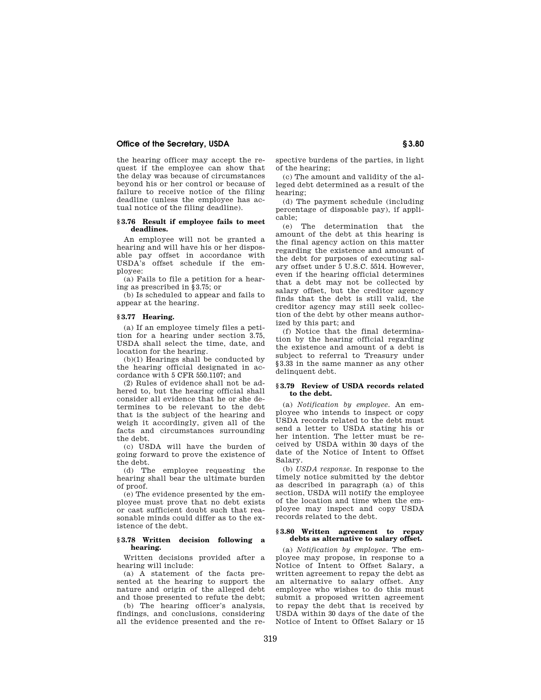## **Office of the Secretary, USDA § 3.80**

the hearing officer may accept the request if the employee can show that the delay was because of circumstances beyond his or her control or because of failure to receive notice of the filing deadline (unless the employee has actual notice of the filing deadline).

#### **§ 3.76 Result if employee fails to meet deadlines.**

An employee will not be granted a hearing and will have his or her disposable pay offset in accordance with USDA's offset schedule if the employee:

(a) Fails to file a petition for a hearing as prescribed in §3.75; or

(b) Is scheduled to appear and fails to appear at the hearing.

## **§ 3.77 Hearing.**

(a) If an employee timely files a petition for a hearing under section 3.75, USDA shall select the time, date, and location for the hearing.

(b)(1) Hearings shall be conducted by the hearing official designated in accordance with 5 CFR 550.1107; and

(2) Rules of evidence shall not be adhered to, but the hearing official shall consider all evidence that he or she determines to be relevant to the debt that is the subject of the hearing and weigh it accordingly, given all of the facts and circumstances surrounding the debt.

(c) USDA will have the burden of going forward to prove the existence of the debt.

(d) The employee requesting the hearing shall bear the ultimate burden of proof.

(e) The evidence presented by the employee must prove that no debt exists or cast sufficient doubt such that reasonable minds could differ as to the existence of the debt.

#### **§ 3.78 Written decision following a hearing.**

Written decisions provided after a hearing will include:

(a) A statement of the facts presented at the hearing to support the nature and origin of the alleged debt and those presented to refute the debt;

(b) The hearing officer's analysis, findings, and conclusions, considering all the evidence presented and the respective burdens of the parties, in light of the hearing;

(c) The amount and validity of the alleged debt determined as a result of the hearing;

(d) The payment schedule (including percentage of disposable pay), if applicable;

(e) The determination that the amount of the debt at this hearing is the final agency action on this matter regarding the existence and amount of the debt for purposes of executing salary offset under 5 U.S.C. 5514. However, even if the hearing official determines that a debt may not be collected by salary offset, but the creditor agency finds that the debt is still valid, the creditor agency may still seek collection of the debt by other means authorized by this part; and

(f) Notice that the final determination by the hearing official regarding the existence and amount of a debt is subject to referral to Treasury under §3.33 in the same manner as any other delinquent debt.

## **§ 3.79 Review of USDA records related to the debt.**

(a) *Notification by employee.* An employee who intends to inspect or copy USDA records related to the debt must send a letter to USDA stating his or her intention. The letter must be received by USDA within 30 days of the date of the Notice of Intent to Offset Salary.

(b) *USDA response.* In response to the timely notice submitted by the debtor as described in paragraph (a) of this section, USDA will notify the employee of the location and time when the employee may inspect and copy USDA records related to the debt.

#### **§ 3.80 Written agreement to repay debts as alternative to salary offset.**

(a) *Notification by employee.* The employee may propose, in response to a Notice of Intent to Offset Salary, a written agreement to repay the debt as an alternative to salary offset. Any employee who wishes to do this must submit a proposed written agreement to repay the debt that is received by USDA within 30 days of the date of the Notice of Intent to Offset Salary or 15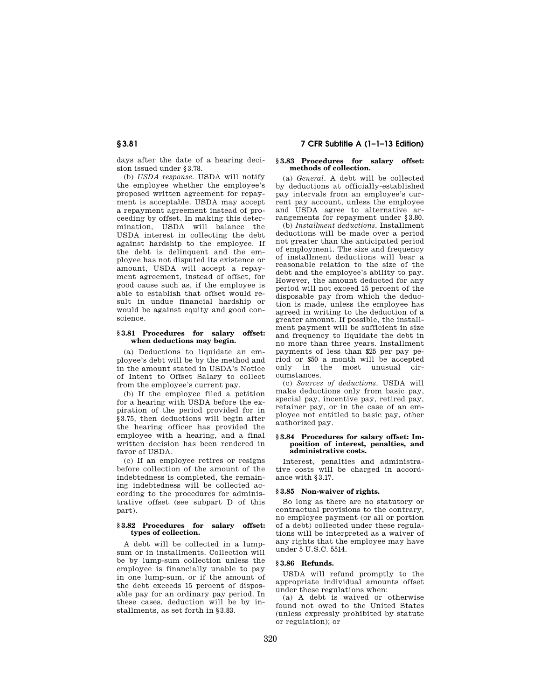days after the date of a hearing decision issued under §3.78.

(b) *USDA response.* USDA will notify the employee whether the employee's proposed written agreement for repayment is acceptable. USDA may accept a repayment agreement instead of proceeding by offset. In making this determination, USDA will balance the USDA interest in collecting the debt against hardship to the employee. If the debt is delinquent and the employee has not disputed its existence or amount, USDA will accept a repayment agreement, instead of offset, for good cause such as, if the employee is able to establish that offset would result in undue financial hardship or would be against equity and good conscience.

#### **§ 3.81 Procedures for salary offset: when deductions may begin.**

(a) Deductions to liquidate an employee's debt will be by the method and in the amount stated in USDA's Notice of Intent to Offset Salary to collect from the employee's current pay.

(b) If the employee filed a petition for a hearing with USDA before the expiration of the period provided for in §3.75, then deductions will begin after the hearing officer has provided the employee with a hearing, and a final written decision has been rendered in favor of USDA.

(c) If an employee retires or resigns before collection of the amount of the indebtedness is completed, the remaining indebtedness will be collected according to the procedures for administrative offset (see subpart D of this part).

#### **§ 3.82 Procedures for salary offset: types of collection.**

A debt will be collected in a lumpsum or in installments. Collection will be by lump-sum collection unless the employee is financially unable to pay in one lump-sum, or if the amount of the debt exceeds 15 percent of disposable pay for an ordinary pay period. In these cases, deduction will be by installments, as set forth in §3.83.

#### **§ 3.83 Procedures for salary offset: methods of collection.**

(a) *General.* A debt will be collected by deductions at officially-established pay intervals from an employee's current pay account, unless the employee and USDA agree to alternative arrangements for repayment under §3.80.

(b) *Installment deductions.* Installment deductions will be made over a period not greater than the anticipated period of employment. The size and frequency of installment deductions will bear a reasonable relation to the size of the debt and the employee's ability to pay. However, the amount deducted for any period will not exceed 15 percent of the disposable pay from which the deduction is made, unless the employee has agreed in writing to the deduction of a greater amount. If possible, the installment payment will be sufficient in size and frequency to liquidate the debt in no more than three years. Installment payments of less than \$25 per pay period or \$50 a month will be accepted only in the most unusual circumstances.

(c) *Sources of deductions.* USDA will make deductions only from basic pay, special pay, incentive pay, retired pay, retainer pay, or in the case of an employee not entitled to basic pay, other authorized pay.

#### **§ 3.84 Procedures for salary offset: Imposition of interest, penalties, and administrative costs.**

Interest, penalties and administrative costs will be charged in accordance with §3.17.

## **§ 3.85 Non-waiver of rights.**

So long as there are no statutory or contractual provisions to the contrary, no employee payment (or all or portion of a debt) collected under these regulations will be interpreted as a waiver of any rights that the employee may have under 5 U.S.C. 5514.

#### **§ 3.86 Refunds.**

USDA will refund promptly to the appropriate individual amounts offset under these regulations when:

(a) A debt is waived or otherwise found not owed to the United States (unless expressly prohibited by statute or regulation); or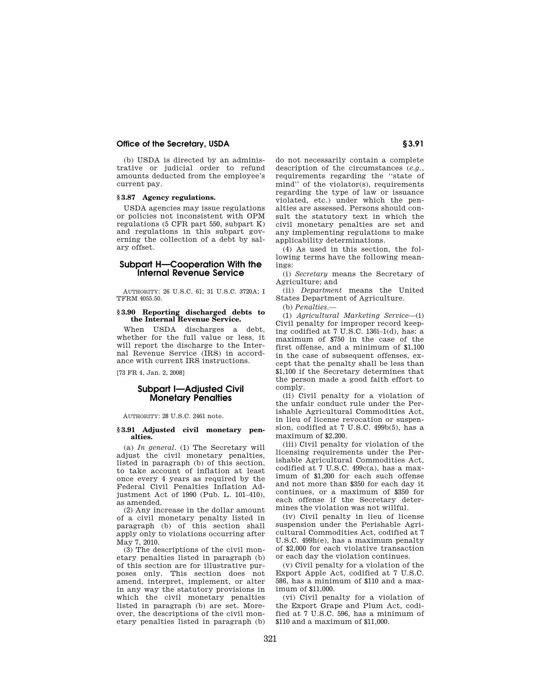### **Office of the Secretary, USDA S3.91**

(b) USDA is directed by an administrative or judicial order to refund amounts deducted from the employee's current pay.

## **§ 3.87 Agency regulations.**

USDA agencies may issue regulations or policies not inconsistent with OPM regulations (5 CFR part 550, subpart K) and regulations in this subpart governing the collection of a debt by salary offset.

## **Subpart H—Cooperation With the Internal Revenue Service**

AUTHORITY: 26 U.S.C. 61; 31 U.S.C. 3720A; I TFRM 4055.50.

# **§ 3.90 Reporting discharged debts to the Internal Revenue Service.**

When USDA discharges a debt, whether for the full value or less, it will report the discharge to the Internal Revenue Service (IRS) in accordance with current IRS instructions.

[73 FR 4, Jan. 2, 2008]

## **Subpart I—Adjusted Civil Monetary Penalties**

AUTHORITY: 28 U.S.C. 2461 note.

#### **§ 3.91 Adjusted civil monetary penalties.**

(a) *In general.* (1) The Secretary will adjust the civil monetary penalties, listed in paragraph (b) of this section, to take account of inflation at least once every 4 years as required by the Federal Civil Penalties Inflation Adjustment Act of 1990 (Pub. L. 101–410), as amended.

(2) Any increase in the dollar amount of a civil monetary penalty listed in paragraph (b) of this section shall apply only to violations occurring after May 7, 2010.

(3) The descriptions of the civil monetary penalties listed in paragraph (b) of this section are for illustrative purposes only. This section does not amend, interpret, implement, or alter in any way the statutory provisions in which the civil monetary penalties listed in paragraph (b) are set. Moreover, the descriptions of the civil monetary penalties listed in paragraph (b)

do not necessarily contain a complete description of the circumstances (*e.g.*, requirements regarding the ''state of mind'' of the violator(s), requirements regarding the type of law or issuance violated, etc.) under which the penalties are assessed. Persons should consult the statutory text in which the civil monetary penalties are set and any implementing regulations to make applicability determinations.

(4) As used in this section, the following terms have the following meanings:

(i) *Secretary* means the Secretary of Agriculture; and

(ii) *Department* means the United States Department of Agriculture.

(b) *Penalties.*—

(1) *Agricultural Marketing Service*—(i) Civil penalty for improper record keeping codified at 7 U.S.C. 136i–1(d), has: a maximum of \$750 in the case of the first offense, and a minimum of \$1,100 in the case of subsequent offenses, except that the penalty shall be less than \$1,100 if the Secretary determines that the person made a good faith effort to comply.

(ii) Civil penalty for a violation of the unfair conduct rule under the Perishable Agricultural Commodities Act, in lieu of license revocation or suspension, codified at 7 U.S.C. 499b(5), has a maximum of \$2,200.

(iii) Civil penalty for violation of the licensing requirements under the Perishable Agricultural Commodities Act, codified at 7 U.S.C.  $499c(a)$ , has a maximum of \$1,200 for each such offense and not more than \$350 for each day it continues, or a maximum of \$350 for each offense if the Secretary determines the violation was not willful.

(iv) Civil penalty in lieu of license suspension under the Perishable Agricultural Commodities Act, codified at 7 U.S.C. 499h(e), has a maximum penalty of \$2,000 for each violative transaction or each day the violation continues.

(v) Civil penalty for a violation of the Export Apple Act, codified at 7 U.S.C. 586, has a minimum of \$110 and a maximum of \$11,000.

(vi) Civil penalty for a violation of the Export Grape and Plum Act, codified at 7 U.S.C. 596, has a minimum of \$110 and a maximum of \$11,000.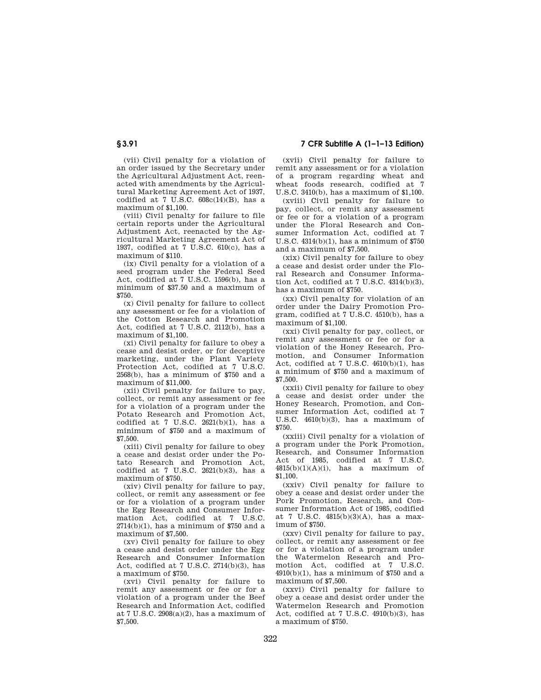(vii) Civil penalty for a violation of an order issued by the Secretary under the Agricultural Adjustment Act, reenacted with amendments by the Agricultural Marketing Agreement Act of 1937, codified at 7 U.S.C.  $608c(14)(B)$ , has a maximum of \$1,100.

(viii) Civil penalty for failure to file certain reports under the Agricultural Adjustment Act, reenacted by the  $Ag$ ricultural Marketing Agreement Act of 1937, codified at 7 U.S.C. 610(c), has a maximum of \$110.

(ix) Civil penalty for a violation of a seed program under the Federal Seed Act, codified at 7 U.S.C. 1596(b), has a minimum of \$37.50 and a maximum of \$750.

(x) Civil penalty for failure to collect any assessment or fee for a violation of the Cotton Research and Promotion Act, codified at 7 U.S.C. 2112(b), has a maximum of \$1,100.

(xi) Civil penalty for failure to obey a cease and desist order, or for deceptive marketing, under the Plant Variety Protection Act, codified at 7 U.S.C.  $2568(b)$ , has a minimum of \$750 and a maximum of \$11,000.

(xii) Civil penalty for failure to pay, collect, or remit any assessment or fee for a violation of a program under the Potato Research and Promotion Act, codified at 7 U.S.C.  $2621(b)(1)$ , has a minimum of \$750 and a maximum of \$7,500.

(xiii) Civil penalty for failure to obey a cease and desist order under the Potato Research and Promotion Act, codified at  $7 \text{ U.S.C. } 2621(b)(3)$ , has a maximum of \$750.

(xiv) Civil penalty for failure to pay, collect, or remit any assessment or fee or for a violation of a program under the Egg Research and Consumer Information Act, codified at 7 U.S.C.  $2714(b)(1)$ , has a minimum of \$750 and a maximum of \$7,500.

(xv) Civil penalty for failure to obey a cease and desist order under the Egg Research and Consumer Information Act, codified at 7 U.S.C. 2714(b)(3), has a maximum of \$750.

(xvi) Civil penalty for failure to remit any assessment or fee or for a violation of a program under the Beef Research and Information Act, codified at 7 U.S.C. 2908(a)(2), has a maximum of \$7,500.

**§ 3.91 7 CFR Subtitle A (1–1–13 Edition)** 

(xvii) Civil penalty for failure to remit any assessment or for a violation of a program regarding wheat and wheat foods research, codified at 7 U.S.C. 3410(b), has a maximum of \$1,100.

(xviii) Civil penalty for failure to pay, collect, or remit any assessment or fee or for a violation of a program under the Floral Research and Consumer Information Act, codified at 7 U.S.C. 4314(b)(1), has a minimum of \$750 and a maximum of \$7,500.

(xix) Civil penalty for failure to obey a cease and desist order under the Floral Research and Consumer Information Act, codified at 7 U.S.C. 4314(b)(3), has a maximum of \$750.

(xx) Civil penalty for violation of an order under the Dairy Promotion Program, codified at 7 U.S.C. 4510(b), has a maximum of \$1,100.

(xxi) Civil penalty for pay, collect, or remit any assessment or fee or for a violation of the Honey Research, Promotion, and Consumer Information Act, codified at 7 U.S.C.  $4610(b)(1)$ , has a minimum of \$750 and a maximum of \$7,500.

(xxii) Civil penalty for failure to obey a cease and desist order under the Honey Research, Promotion, and Consumer Information Act, codified at 7 U.S.C. 4610(b)(3), has a maximum of \$750.

(xxiii) Civil penalty for a violation of a program under the Pork Promotion, Research, and Consumer Information Act of 1985, codified at 7 U.S.C.  $4815(b)(1)(A)(i)$ , has a maximum of \$1,100.

(xxiv) Civil penalty for failure to obey a cease and desist order under the Pork Promotion, Research, and Consumer Information Act of 1985, codified at 7 U.S.C. 4815(b)(3)(A), has a maximum of \$750.

(xxv) Civil penalty for failure to pay, collect, or remit any assessment or fee or for a violation of a program under the Watermelon Research and Pro-<br>motion Act codified at 7 USC motion Act, codified at  $4910(b)(1)$ , has a minimum of \$750 and a maximum of \$7,500.

(xxvi) Civil penalty for failure to obey a cease and desist order under the Watermelon Research and Promotion Act, codified at 7 U.S.C. 4910(b)(3), has a maximum of \$750.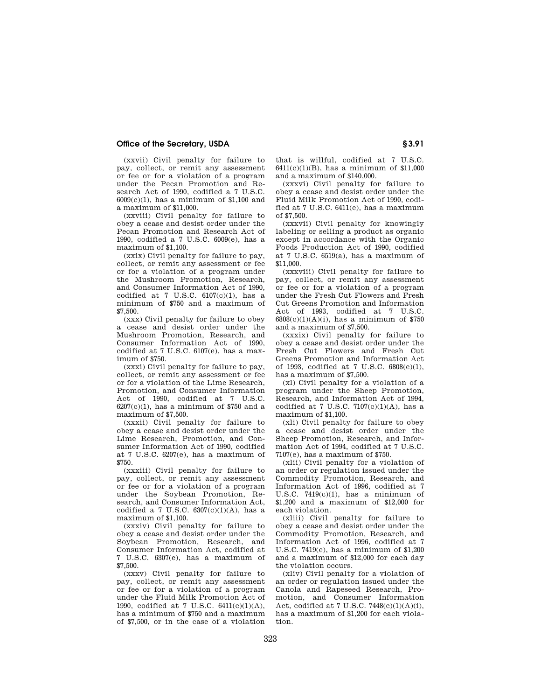## **Office of the Secretary, USDA S3.91**

(xxvii) Civil penalty for failure to pay, collect, or remit any assessment or fee or for a violation of a program under the Pecan Promotion and Research Act of 1990, codified a 7 U.S.C. 6009(c)(1), has a minimum of \$1,100 and a maximum of \$11,000.

(xxviii) Civil penalty for failure to obey a cease and desist order under the Pecan Promotion and Research Act of 1990, codified a 7 U.S.C. 6009(e), has a maximum of \$1,100.

(xxix) Civil penalty for failure to pay, collect, or remit any assessment or fee or for a violation of a program under the Mushroom Promotion, Research, and Consumer Information Act of 1990, codified at 7 U.S.C.  $6107(c)(1)$ , has a minimum of \$750 and a maximum of \$7,500.

(xxx) Civil penalty for failure to obey a cease and desist order under the Mushroom Promotion, Research, and Consumer Information Act of 1990, codified at 7 U.S.C. 6107(e), has a maximum of \$750.

(xxxi) Civil penalty for failure to pay, collect, or remit any assessment or fee or for a violation of the Lime Research, Promotion, and Consumer Information Act of 1990, codified at 7 U.S.C.  $6207(c)(1)$ , has a minimum of \$750 and a maximum of \$7,500.

(xxxii) Civil penalty for failure to obey a cease and desist order under the Lime Research, Promotion, and Consumer Information Act of 1990, codified at 7 U.S.C. 6207(e), has a maximum of \$750.

(xxxiii) Civil penalty for failure to pay, collect, or remit any assessment or fee or for a violation of a program under the Soybean Promotion, Research, and Consumer Information Act, codified a 7 U.S.C.  $6307(c)(1)(A)$ , has a maximum of \$1,100.

(xxxiv) Civil penalty for failure to obey a cease and desist order under the Soybean Promotion, Research, and Consumer Information Act, codified at 7 U.S.C. 6307(e), has a maximum of \$7,500.

(xxxv) Civil penalty for failure to pay, collect, or remit any assessment or fee or for a violation of a program under the Fluid Milk Promotion Act of 1990, codified at 7 U.S.C. 6411(c)(1)(A), has a minimum of \$750 and a maximum of \$7,500, or in the case of a violation

that is willful, codified at 7 U.S.C. 6411(c)(1)(B), has a minimum of \$11,000 and a maximum of \$140,000.

(xxxvi) Civil penalty for failure to obey a cease and desist order under the Fluid Milk Promotion Act of 1990, codified at 7 U.S.C. 6411(e), has a maximum of \$7,500.

(xxxvii) Civil penalty for knowingly labeling or selling a product as organic except in accordance with the Organic Foods Production Act of 1990, codified at 7 U.S.C. 6519(a), has a maximum of \$11,000.

(xxxviii) Civil penalty for failure to pay, collect, or remit any assessment or fee or for a violation of a program under the Fresh Cut Flowers and Fresh Cut Greens Promotion and Information Act of 1993, codified at 7 U.S.C. 6808(c)(1)(A)(i), has a minimum of \$750 and a maximum of \$7,500.

(xxxix) Civil penalty for failure to obey a cease and desist order under the Fresh Cut Flowers and Fresh Cut Greens Promotion and Information Act of 1993, codified at 7 U.S.C. 6808(e)(1), has a maximum of \$7,500.

(xl) Civil penalty for a violation of a program under the Sheep Promotion, Research, and Information Act of 1994, codified at 7 U.S.C.  $7107(c)(1)(A)$ , has a maximum of \$1,100.

(xli) Civil penalty for failure to obey a cease and desist order under the Sheep Promotion, Research, and Information Act of 1994, codified at 7 U.S.C. 7107(e), has a maximum of \$750.

(xlii) Civil penalty for a violation of an order or regulation issued under the Commodity Promotion, Research, and Information Act of 1996, codified at 7 U.S.C.  $7419(c)(1)$ , has a minimum of \$1,200 and a maximum of \$12,000 for each violation.

(xliii) Civil penalty for failure to obey a cease and desist order under the Commodity Promotion, Research, and Information Act of 1996, codified at 7 U.S.C. 7419(e), has a minimum of \$1,200 and a maximum of \$12,000 for each day the violation occurs.

(xliv) Civil penalty for a violation of an order or regulation issued under the Canola and Rapeseed Research, Promotion, and Consumer Information Act, codified at 7 U.S.C. 7448(c)(1)(A)(i), has a maximum of \$1,200 for each violation.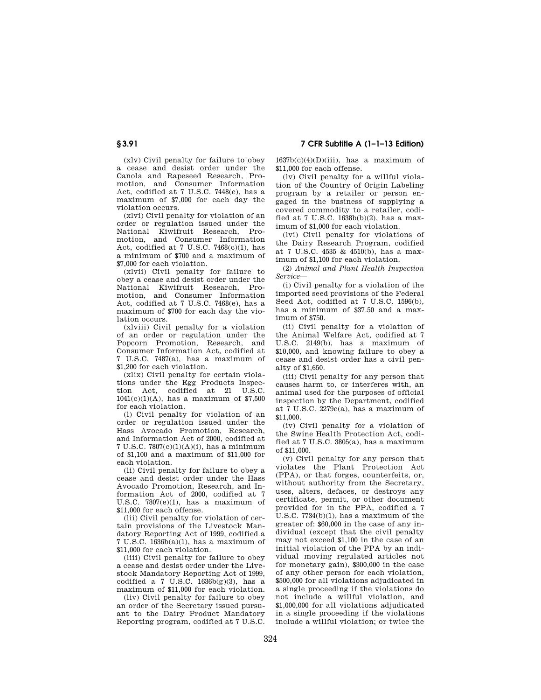(xlv) Civil penalty for failure to obey a cease and desist order under the Canola and Rapeseed Research, Promotion, and Consumer Information Act, codified at 7 U.S.C. 7448(e), has a maximum of \$7,000 for each day the violation occurs.

(xlvi) Civil penalty for violation of an order or regulation issued under the National Kiwifruit Research, Promotion, and Consumer Information Act, codified at 7 U.S.C.  $7468(c)(1)$ , has a minimum of \$700 and a maximum of \$7,000 for each violation.

(xlvii) Civil penalty for failure to obey a cease and desist order under the National Kiwifruit Research, Promotion, and Consumer Information Act, codified at 7 U.S.C. 7468(e), has a maximum of \$700 for each day the violation occurs.

(xlviii) Civil penalty for a violation of an order or regulation under the Popcorn Promotion, Research, and Consumer Information Act, codified at 7 U.S.C. 7487(a), has a maximum of \$1,200 for each violation.

(xlix) Civil penalty for certain violations under the Egg Products Inspection Act, codified at 21 U.S.C.  $1041(c)(1)(A)$ , has a maximum of \$7,500 for each violation.

(l) Civil penalty for violation of an order or regulation issued under the Hass Avocado Promotion, Research, and Information Act of 2000, codified at 7 U.S.C. 7807(c)(1)(A)(i), has a minimum of \$1,100 and a maximum of \$11,000 for each violation.

(li) Civil penalty for failure to obey a cease and desist order under the Hass Avocado Promotion, Research, and Information Act of 2000, codified at 7 U.S.C. 7807(e)(1), has a maximum of \$11,000 for each offense.

(lii) Civil penalty for violation of certain provisions of the Livestock Mandatory Reporting Act of 1999, codified a 7 U.S.C. 1636b(a)(1), has a maximum of \$11,000 for each violation.

(liii) Civil penalty for failure to obey a cease and desist order under the Livestock Mandatory Reporting Act of 1999, codified a 7 U.S.C.  $1636b(g)(3)$ , has a maximum of \$11,000 for each violation.

(liv) Civil penalty for failure to obey an order of the Secretary issued pursuant to the Dairy Product Mandatory Reporting program, codified at 7 U.S.C.  $1637b(c)(4)(D)(iii)$ , has a maximum of \$11,000 for each offense.

(lv) Civil penalty for a willful violation of the Country of Origin Labeling program by a retailer or person engaged in the business of supplying a covered commodity to a retailer, codified at 7 U.S.C. 1638b(b)(2), has a maximum of \$1,000 for each violation.

(lvi) Civil penalty for violations of the Dairy Research Program, codified at 7 U.S.C. 4535 & 4510(b), has a maximum of \$1,100 for each violation.

(2) *Animal and Plant Health Inspection Service*—

(i) Civil penalty for a violation of the imported seed provisions of the Federal Seed Act, codified at 7 U.S.C. 1596(b), has a minimum of \$37.50 and a maximum of \$750.

(ii) Civil penalty for a violation of the Animal Welfare Act, codified at 7 U.S.C. 2149(b), has a maximum of \$10,000, and knowing failure to obey a cease and desist order has a civil penalty of \$1,650.

(iii) Civil penalty for any person that causes harm to, or interferes with, an animal used for the purposes of official inspection by the Department, codified at 7 U.S.C. 2279e(a), has a maximum of \$11,000.

(iv) Civil penalty for a violation of the Swine Health Protection Act, codified at 7 U.S.C. 3805(a), has a maximum of \$11,000.

(v) Civil penalty for any person that violates the Plant Protection Act (PPA), or that forges, counterfeits, or, without authority from the Secretary, uses, alters, defaces, or destroys any certificate, permit, or other document provided for in the PPA, codified a 7 U.S.C. 7734(b)(1), has a maximum of the greater of: \$60,000 in the case of any individual (except that the civil penalty may not exceed \$1,100 in the case of an initial violation of the PPA by an individual moving regulated articles not for monetary gain), \$300,000 in the case of any other person for each violation, \$500,000 for all violations adjudicated in a single proceeding if the violations do not include a willful violation, and \$1,000,000 for all violations adjudicated in a single proceeding if the violations include a willful violation; or twice the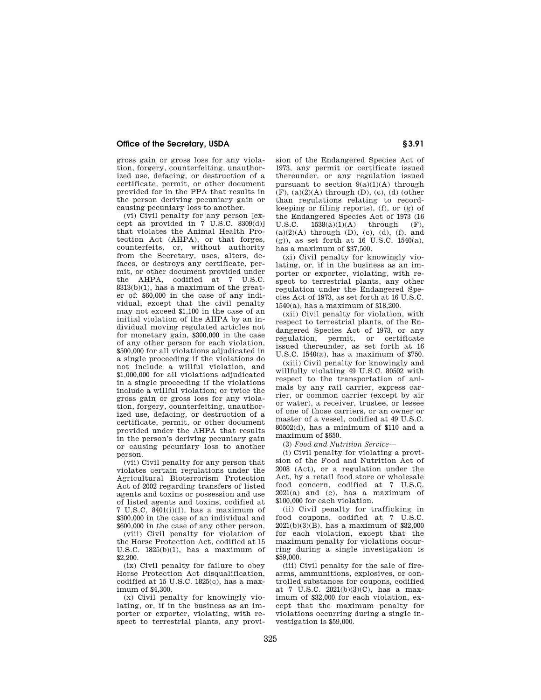## **Office of the Secretary, USDA S3.91**

gross gain or gross loss for any violation, forgery, counterfeiting, unauthorized use, defacing, or destruction of a certificate, permit, or other document provided for in the PPA that results in the person deriving pecuniary gain or causing pecuniary loss to another.

(vi) Civil penalty for any person [except as provided in  $7 \text{ U.S.C. } 8309(d)$ ] that violates the Animal Health Protection Act (AHPA), or that forges, counterfeits, or, without authority from the Secretary, uses, alters, defaces, or destroys any certificate, permit, or other document provided under the AHPA, codified at 7 U.S.C. 8313(b)(1), has a maximum of the greater of: \$60,000 in the case of any individual, except that the civil penalty may not exceed \$1,100 in the case of an initial violation of the AHPA by an individual moving regulated articles not for monetary gain, \$300,000 in the case of any other person for each violation, \$500,000 for all violations adjudicated in a single proceeding if the violations do not include a willful violation, and \$1,000,000 for all violations adjudicated in a single proceeding if the violations include a willful violation; or twice the gross gain or gross loss for any violation, forgery, counterfeiting, unauthorized use, defacing, or destruction of a certificate, permit, or other document provided under the AHPA that results in the person's deriving pecuniary gain or causing pecuniary loss to another person.

(vii) Civil penalty for any person that violates certain regulations under the Agricultural Bioterrorism Protection Act of 2002 regarding transfers of listed agents and toxins or possession and use of listed agents and toxins, codified at 7 U.S.C. 8401(i)(1), has a maximum of \$300,000 in the case of an individual and \$600,000 in the case of any other person.

(viii) Civil penalty for violation of the Horse Protection Act, codified at 15 U.S.C. 1825(b)(1), has a maximum of \$2,200.

(ix) Civil penalty for failure to obey Horse Protection Act disqualification, codified at 15 U.S.C.  $1825(c)$ , has a maximum of \$4,300.

(x) Civil penalty for knowingly violating, or, if in the business as an importer or exporter, violating, with respect to terrestrial plants, any provision of the Endangered Species Act of 1973, any permit or certificate issued thereunder, or any regulation issued pursuant to section  $9(a)(1)(A)$  through  $(F)$ ,  $(a)(2)(A)$  through  $(D)$ ,  $(c)$ ,  $(d)$  (other than regulations relating to recordkeeping or filing reports), (f), or (g) of the Endangered Species Act of 1973 (16 U.S.C. 1538(a)(1)(A) through  $(F)$ . through  $(F)$ ,  $(a)(2)(A)$  through  $(D)$ ,  $(c)$ ,  $(d)$ ,  $(f)$ , and  $(g)$ ), as set forth at 16 U.S.C. 1540(a), has a maximum of \$37,500.

(xi) Civil penalty for knowingly violating, or, if in the business as an importer or exporter, violating, with respect to terrestrial plants, any other regulation under the Endangered Species Act of 1973, as set forth at 16 U.S.C. 1540(a), has a maximum of \$18,200.

(xii) Civil penalty for violation, with respect to terrestrial plants, of the Endangered Species Act of 1973, or any regulation, permit, or certificate issued thereunder, as set forth at 16 U.S.C. 1540(a), has a maximum of \$750.

(xiii) Civil penalty for knowingly and willfully violating 49 U.S.C. 80502 with respect to the transportation of animals by any rail carrier, express carrier, or common carrier (except by air or water), a receiver, trustee, or lessee of one of those carriers, or an owner or master of a vessel, codified at 49 U.S.C. 80502(d), has a minimum of \$110 and a maximum of \$650.

(3) *Food and Nutrition Service*—

(i) Civil penalty for violating a provision of the Food and Nutrition Act of 2008 (Act), or a regulation under the Act, by a retail food store or wholesale food concern, codified at 7 U.S.C.  $2021(a)$  and (c), has a maximum of \$100,000 for each violation.

(ii) Civil penalty for trafficking in food coupons, codified at 7 U.S.C. 2021(b)(3)(B), has a maximum of \$32,000 for each violation, except that the maximum penalty for violations occurring during a single investigation is \$59,000.

(iii) Civil penalty for the sale of firearms, ammunitions, explosives, or controlled substances for coupons, codified at 7 U.S.C. 2021(b)(3)(C), has a maximum of \$32,000 for each violation, except that the maximum penalty for violations occurring during a single investigation is \$59,000.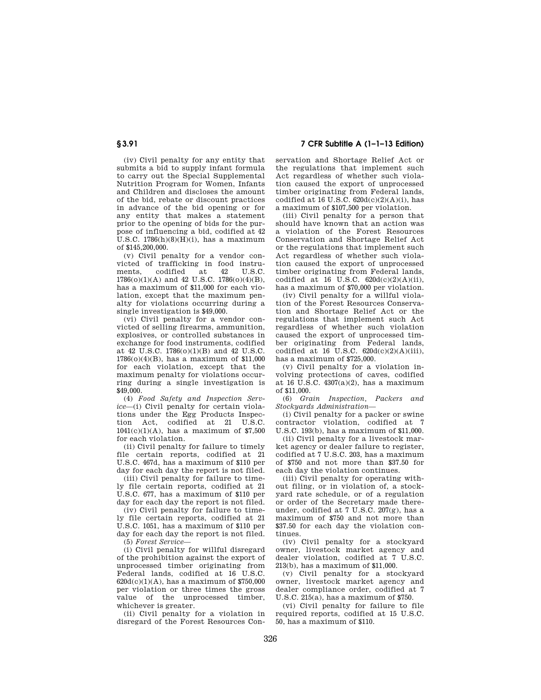## **§ 3.91 7 CFR Subtitle A (1–1–13 Edition)**

(iv) Civil penalty for any entity that submits a bid to supply infant formula to carry out the Special Supplemental Nutrition Program for Women, Infants and Children and discloses the amount of the bid, rebate or discount practices in advance of the bid opening or for any entity that makes a statement prior to the opening of bids for the purpose of influencing a bid, codified at 42 U.S.C.  $1786(h)(8)(H)(i)$ , has a maximum of \$145,200,000.

(v) Civil penalty for a vendor convicted of trafficking in food instru-<br>ments. codified at 42 U.S.C. codified 1786(o)(1)(A) and 42 U.S.C. 1786(o)(4)(B), has a maximum of \$11,000 for each violation, except that the maximum penalty for violations occurring during a single investigation is \$49,000.

(vi) Civil penalty for a vendor convicted of selling firearms, ammunition, explosives, or controlled substances in exchange for food instruments, codified at 42 U.S.C. 1786(o)(1)(B) and 42 U.S.C. 1786(o)(4)(B), has a maximum of \$11,000 for each violation, except that the maximum penalty for violations occurring during a single investigation is \$49,000.

(4) *Food Safety and Inspection Service*—(i) Civil penalty for certain violations under the Egg Products Inspection Act, codified at 21 U.S.C.  $1041(c)(1)(A)$ , has a maximum of \$7,500 for each violation.

(ii) Civil penalty for failure to timely file certain reports, codified at 21 U.S.C. 467d, has a maximum of \$110 per day for each day the report is not filed.

(iii) Civil penalty for failure to timely file certain reports, codified at 21 U.S.C. 677, has a maximum of \$110 per day for each day the report is not filed.

(iv) Civil penalty for failure to timely file certain reports, codified at 21  $U.S.C.$  1051, has a maximum of \$110 per day for each day the report is not filed.

(5) *Forest Service*—

(i) Civil penalty for willful disregard of the prohibition against the export of unprocessed timber originating from Federal lands, codified at 16 U.S.C.  $620d(c)(1)(A)$ , has a maximum of \$750,000 per violation or three times the gross value of the unprocessed timber, whichever is greater.

(ii) Civil penalty for a violation in disregard of the Forest Resources Conservation and Shortage Relief Act or the regulations that implement such Act regardless of whether such violation caused the export of unprocessed timber originating from Federal lands, codified at 16 U.S.C.  $620d(c)(2)(A)(i)$ , has a maximum of \$107,500 per violation.

(iii) Civil penalty for a person that should have known that an action was a violation of the Forest Resources Conservation and Shortage Relief Act or the regulations that implement such Act regardless of whether such violation caused the export of unprocessed timber originating from Federal lands, codified at 16 U.S.C.  $620d(c)(2)(A)(ii)$ , has a maximum of \$70,000 per violation.

(iv) Civil penalty for a willful violation of the Forest Resources Conservation and Shortage Relief Act or the regulations that implement such Act regardless of whether such violation caused the export of unprocessed timber originating from Federal lands, codified at 16 U.S.C.  $620d(c)(2)(A)(iii)$ , has a maximum of \$725,000.

(v) Civil penalty for a violation involving protections of caves, codified at 16 U.S.C. 4307(a)(2), has a maximum of \$11,000.

(6) *Grain Inspection, Packers and Stockyards Administration*—

(i) Civil penalty for a packer or swine contractor violation, codified at 7 U.S.C. 193(b), has a maximum of \$11,000.

(ii) Civil penalty for a livestock market agency or dealer failure to register, codified at 7 U.S.C. 203, has a maximum of \$750 and not more than \$37.50 for each day the violation continues.

(iii) Civil penalty for operating without filing, or in violation of, a stockyard rate schedule, or of a regulation or order of the Secretary made thereunder, codified at 7 U.S.C. 207(g), has a maximum of \$750 and not more than \$37.50 for each day the violation continues.

(iv) Civil penalty for a stockyard owner, livestock market agency and dealer violation, codified at 7 U.S.C. 213(b), has a maximum of \$11,000.

(v) Civil penalty for a stockyard owner, livestock market agency and dealer compliance order, codified at 7 U.S.C. 215(a), has a maximum of \$750.

(vi) Civil penalty for failure to file required reports, codified at 15 U.S.C. 50, has a maximum of \$110.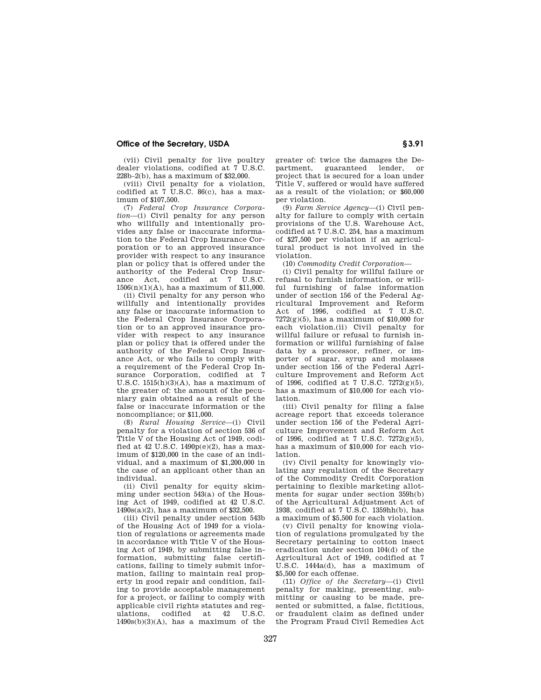## **Office of the Secretary, USDA S3.91**

(vii) Civil penalty for live poultry dealer violations, codified at 7 U.S.C. 228b–2(b), has a maximum of \$32,000.

(viii) Civil penalty for a violation, codified at 7 U.S.C. 86(c), has a maximum of \$107,500.

(7) *Federal Crop Insurance Corporation*—(i) Civil penalty for any person who willfully and intentionally provides any false or inaccurate information to the Federal Crop Insurance Corporation or to an approved insurance provider with respect to any insurance plan or policy that is offered under the authority of the Federal Crop Insurance Act, codified at 7 U.S.C.  $1506(n)(1)(A)$ , has a maximum of \$11,000.

(ii) Civil penalty for any person who willfully and intentionally provides any false or inaccurate information to the Federal Crop Insurance Corporation or to an approved insurance provider with respect to any insurance plan or policy that is offered under the authority of the Federal Crop Insurance Act, or who fails to comply with a requirement of the Federal Crop Insurance Corporation, codified at 7 U.S.C.  $1515(h)(3)(A)$ , has a maximum of the greater of: the amount of the pecuniary gain obtained as a result of the false or inaccurate information or the noncompliance; or \$11,000.

(8) *Rural Housing Service*—(i) Civil penalty for a violation of section 536 of Title V of the Housing Act of 1949, codified at 42 U.S.C.  $1490p(e)(2)$ , has a maximum of \$120,000 in the case of an individual, and a maximum of \$1,200,000 in the case of an applicant other than an individual.

(ii) Civil penalty for equity skimming under section 543(a) of the Housing Act of 1949, codified at 42 U.S.C. 1490s(a)(2), has a maximum of \$32,500.

(iii) Civil penalty under section 543b of the Housing Act of 1949 for a violation of regulations or agreements made in accordance with Title V of the Housing Act of 1949, by submitting false information, submitting false certifications, failing to timely submit information, failing to maintain real property in good repair and condition, failing to provide acceptable management for a project, or failing to comply with applicable civil rights statutes and reg-<br>ulations. codified at 42 U.S.C. ulations, codified at  $1490s(b)(3)(A)$ , has a maximum of the greater of: twice the damages the Department, guaranteed lender, or project that is secured for a loan under Title V, suffered or would have suffered as a result of the violation; or \$60,000 per violation.

(9) *Farm Service Agency*—(i) Civil penalty for failure to comply with certain provisions of the U.S. Warehouse Act, codified at 7 U.S.C. 254, has a maximum of \$27,500 per violation if an agricultural product is not involved in the violation.

(10) *Commodity Credit Corporation*—

(i) Civil penalty for willful failure or refusal to furnish information, or willful furnishing of false information under of section 156 of the Federal Agricultural Improvement and Reform Act of 1996, codified at 7 U.S.C.  $7272(g)(5)$ , has a maximum of \$10,000 for each violation.(ii) Civil penalty for willful failure or refusal to furnish information or willful furnishing of false data by a processor, refiner, or importer of sugar, syrup and molasses under section 156 of the Federal Agriculture Improvement and Reform Act of 1996, codified at 7 U.S.C.  $7272(g)(5)$ , has a maximum of \$10,000 for each violation.

(iii) Civil penalty for filing a false acreage report that exceeds tolerance under section 156 of the Federal Agriculture Improvement and Reform Act of 1996, codified at 7 U.S.C. 7272(g)(5), has a maximum of \$10,000 for each violation.

(iv) Civil penalty for knowingly violating any regulation of the Secretary of the Commodity Credit Corporation pertaining to flexible marketing allotments for sugar under section 359h(b) of the Agricultural Adjustment Act of 1938, codified at 7 U.S.C. 1359hh(b), has a maximum of \$5,500 for each violation.

(v) Civil penalty for knowing violation of regulations promulgated by the Secretary pertaining to cotton insect eradication under section 104(d) of the Agricultural Act of 1949, codified at 7 U.S.C. 1444a(d), has a maximum of \$5,500 for each offense.

(11) *Office of the Secretary*—(i) Civil penalty for making, presenting, submitting or causing to be made, presented or submitted, a false, fictitious, or fraudulent claim as defined under the Program Fraud Civil Remedies Act